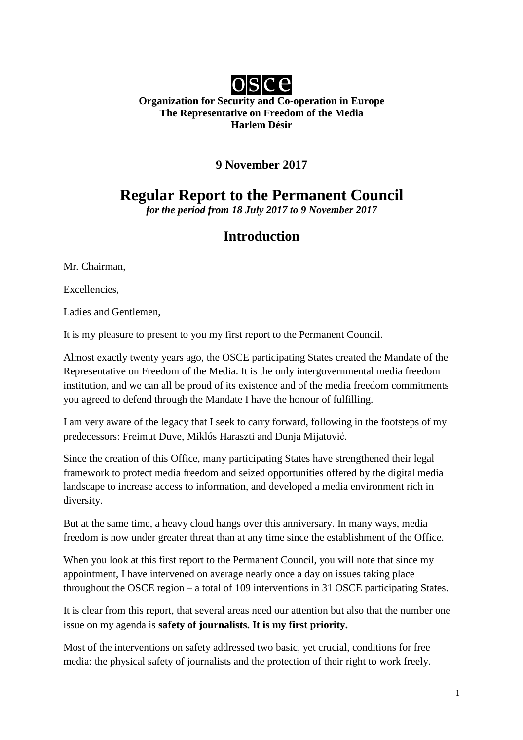

### **Organization for Security and Co-operation in Europe The Representative on Freedom of the Media Harlem Désir**

## **9 November 2017**

# **Regular Report to the Permanent Council**

*for the period from 18 July 2017 to 9 November 2017*

# **Introduction**

Mr. Chairman,

Excellencies,

Ladies and Gentlemen,

It is my pleasure to present to you my first report to the Permanent Council.

Almost exactly twenty years ago, the OSCE participating States created the Mandate of the Representative on Freedom of the Media. It is the only intergovernmental media freedom institution, and we can all be proud of its existence and of the media freedom commitments you agreed to defend through the Mandate I have the honour of fulfilling.

I am very aware of the legacy that I seek to carry forward, following in the footsteps of my predecessors: Freimut Duve, Miklós Haraszti and Dunja Mijatović.

Since the creation of this Office, many participating States have strengthened their legal framework to protect media freedom and seized opportunities offered by the digital media landscape to increase access to information, and developed a media environment rich in diversity.

But at the same time, a heavy cloud hangs over this anniversary. In many ways, media freedom is now under greater threat than at any time since the establishment of the Office.

When you look at this first report to the Permanent Council, you will note that since my appointment, I have intervened on average nearly once a day on issues taking place throughout the OSCE region – a total of 109 interventions in 31 OSCE participating States.

It is clear from this report, that several areas need our attention but also that the number one issue on my agenda is **safety of journalists. It is my first priority.** 

Most of the interventions on safety addressed two basic, yet crucial, conditions for free media: the physical safety of journalists and the protection of their right to work freely.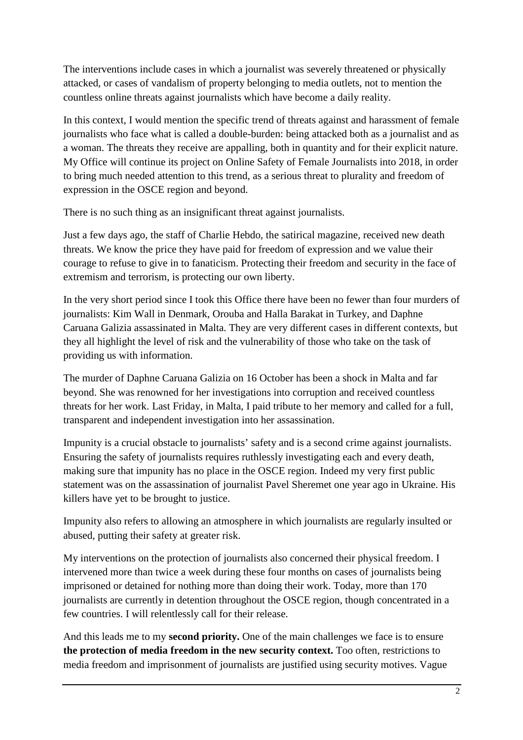The interventions include cases in which a journalist was severely threatened or physically attacked, or cases of vandalism of property belonging to media outlets, not to mention the countless online threats against journalists which have become a daily reality.

In this context, I would mention the specific trend of threats against and harassment of female journalists who face what is called a double-burden: being attacked both as a journalist and as a woman. The threats they receive are appalling, both in quantity and for their explicit nature. My Office will continue its project on Online Safety of Female Journalists into 2018, in order to bring much needed attention to this trend, as a serious threat to plurality and freedom of expression in the OSCE region and beyond.

There is no such thing as an insignificant threat against journalists.

Just a few days ago, the staff of Charlie Hebdo, the satirical magazine, received new death threats. We know the price they have paid for freedom of expression and we value their courage to refuse to give in to fanaticism. Protecting their freedom and security in the face of extremism and terrorism, is protecting our own liberty.

In the very short period since I took this Office there have been no fewer than four murders of journalists: Kim Wall in Denmark, Orouba and Halla Barakat in Turkey, and Daphne Caruana Galizia assassinated in Malta. They are very different cases in different contexts, but they all highlight the level of risk and the vulnerability of those who take on the task of providing us with information.

The murder of Daphne Caruana Galizia on 16 October has been a shock in Malta and far beyond. She was renowned for her investigations into corruption and received countless threats for her work. Last Friday, in Malta, I paid tribute to her memory and called for a full, transparent and independent investigation into her assassination.

Impunity is a crucial obstacle to journalists' safety and is a second crime against journalists. Ensuring the safety of journalists requires ruthlessly investigating each and every death, making sure that impunity has no place in the OSCE region. Indeed my very first public statement was on the assassination of journalist Pavel Sheremet one year ago in Ukraine. His killers have yet to be brought to justice.

Impunity also refers to allowing an atmosphere in which journalists are regularly insulted or abused, putting their safety at greater risk.

My interventions on the protection of journalists also concerned their physical freedom. I intervened more than twice a week during these four months on cases of journalists being imprisoned or detained for nothing more than doing their work. Today, more than 170 journalists are currently in detention throughout the OSCE region, though concentrated in a few countries. I will relentlessly call for their release.

And this leads me to my **second priority.** One of the main challenges we face is to ensure **the protection of media freedom in the new security context.** Too often, restrictions to media freedom and imprisonment of journalists are justified using security motives. Vague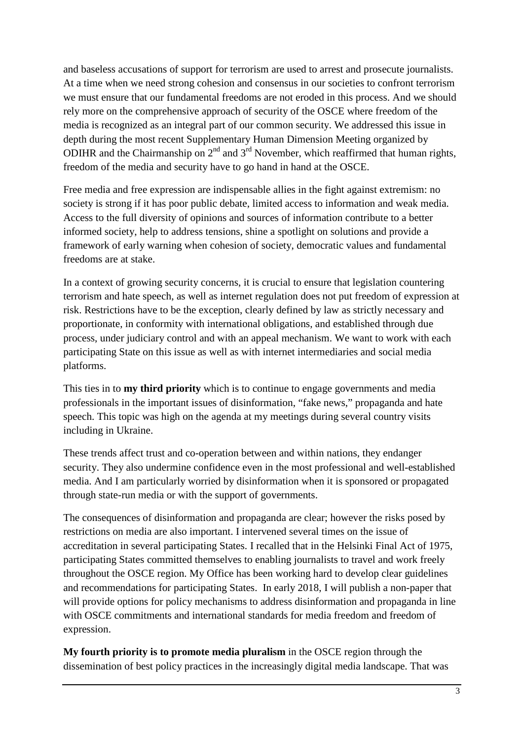and baseless accusations of support for terrorism are used to arrest and prosecute journalists. At a time when we need strong cohesion and consensus in our societies to confront terrorism we must ensure that our fundamental freedoms are not eroded in this process. And we should rely more on the comprehensive approach of security of the OSCE where freedom of the media is recognized as an integral part of our common security. We addressed this issue in depth during the most recent Supplementary Human Dimension Meeting organized by ODIHR and the Chairmanship on  $2<sup>nd</sup>$  and  $3<sup>rd</sup>$  November, which reaffirmed that human rights, freedom of the media and security have to go hand in hand at the OSCE.

Free media and free expression are indispensable allies in the fight against extremism: no society is strong if it has poor public debate, limited access to information and weak media. Access to the full diversity of opinions and sources of information contribute to a better informed society, help to address tensions, shine a spotlight on solutions and provide a framework of early warning when cohesion of society, democratic values and fundamental freedoms are at stake.

In a context of growing security concerns, it is crucial to ensure that legislation countering terrorism and hate speech, as well as internet regulation does not put freedom of expression at risk. Restrictions have to be the exception, clearly defined by law as strictly necessary and proportionate, in conformity with international obligations, and established through due process, under judiciary control and with an appeal mechanism. We want to work with each participating State on this issue as well as with internet intermediaries and social media platforms.

This ties in to **my third priority** which is to continue to engage governments and media professionals in the important issues of disinformation, "fake news," propaganda and hate speech. This topic was high on the agenda at my meetings during several country visits including in Ukraine.

These trends affect trust and co-operation between and within nations, they endanger security. They also undermine confidence even in the most professional and well-established media. And I am particularly worried by disinformation when it is sponsored or propagated through state-run media or with the support of governments.

The consequences of disinformation and propaganda are clear; however the risks posed by restrictions on media are also important. I intervened several times on the issue of accreditation in several participating States. I recalled that in the Helsinki Final Act of 1975, participating States committed themselves to enabling journalists to travel and work freely throughout the OSCE region. My Office has been working hard to develop clear guidelines and recommendations for participating States. In early 2018, I will publish a non-paper that will provide options for policy mechanisms to address disinformation and propaganda in line with OSCE commitments and international standards for media freedom and freedom of expression.

**My fourth priority is to promote media pluralism** in the OSCE region through the dissemination of best policy practices in the increasingly digital media landscape. That was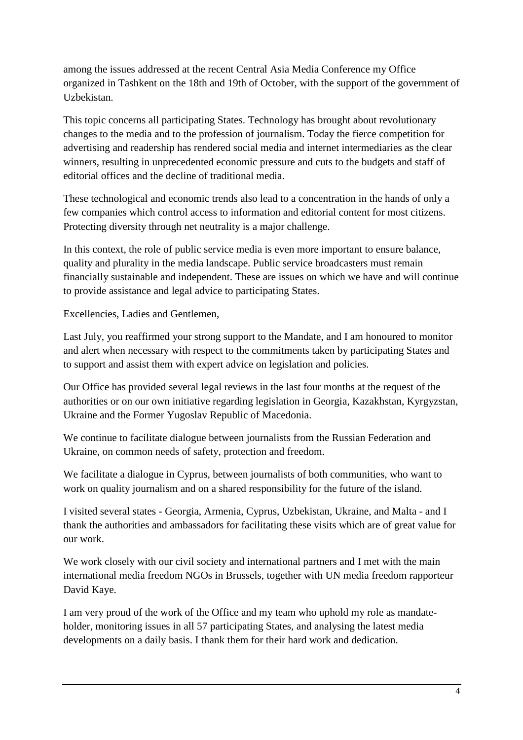among the issues addressed at the recent Central Asia Media Conference my Office organized in Tashkent on the 18th and 19th of October, with the support of the government of Uzbekistan.

This topic concerns all participating States. Technology has brought about revolutionary changes to the media and to the profession of journalism. Today the fierce competition for advertising and readership has rendered social media and internet intermediaries as the clear winners, resulting in unprecedented economic pressure and cuts to the budgets and staff of editorial offices and the decline of traditional media.

These technological and economic trends also lead to a concentration in the hands of only a few companies which control access to information and editorial content for most citizens. Protecting diversity through net neutrality is a major challenge.

In this context, the role of public service media is even more important to ensure balance, quality and plurality in the media landscape. Public service broadcasters must remain financially sustainable and independent. These are issues on which we have and will continue to provide assistance and legal advice to participating States.

Excellencies, Ladies and Gentlemen,

Last July, you reaffirmed your strong support to the Mandate, and I am honoured to monitor and alert when necessary with respect to the commitments taken by participating States and to support and assist them with expert advice on legislation and policies.

Our Office has provided several legal reviews in the last four months at the request of the authorities or on our own initiative regarding legislation in Georgia, Kazakhstan, Kyrgyzstan, Ukraine and the Former Yugoslav Republic of Macedonia.

We continue to facilitate dialogue between journalists from the Russian Federation and Ukraine, on common needs of safety, protection and freedom.

We facilitate a dialogue in Cyprus, between journalists of both communities, who want to work on quality journalism and on a shared responsibility for the future of the island.

I visited several states - Georgia, Armenia, Cyprus, Uzbekistan, Ukraine, and Malta - and I thank the authorities and ambassadors for facilitating these visits which are of great value for our work.

We work closely with our civil society and international partners and I met with the main international media freedom NGOs in Brussels, together with UN media freedom rapporteur David Kaye.

I am very proud of the work of the Office and my team who uphold my role as mandateholder, monitoring issues in all 57 participating States, and analysing the latest media developments on a daily basis. I thank them for their hard work and dedication.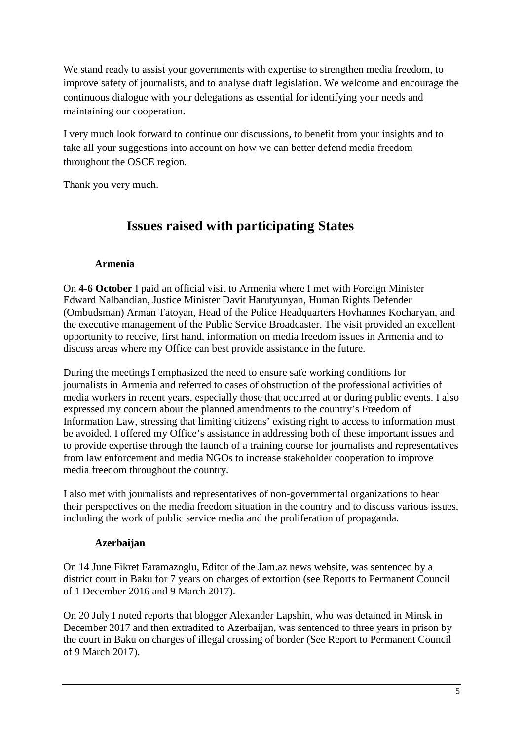We stand ready to assist your governments with expertise to strengthen media freedom, to improve safety of journalists, and to analyse draft legislation. We welcome and encourage the continuous dialogue with your delegations as essential for identifying your needs and maintaining our cooperation.

I very much look forward to continue our discussions, to benefit from your insights and to take all your suggestions into account on how we can better defend media freedom throughout the OSCE region.

Thank you very much.

# **Issues raised with participating States**

## **Armenia**

On **4-6 October** I paid an official visit to Armenia where I met with Foreign Minister Edward Nalbandian, Justice Minister Davit Harutyunyan, Human Rights Defender (Ombudsman) Arman Tatoyan, Head of the Police Headquarters Hovhannes Kocharyan, and the executive management of the Public Service Broadcaster. The visit provided an excellent opportunity to receive, first hand, information on media freedom issues in Armenia and to discuss areas where my Office can best provide assistance in the future.

During the meetings I emphasized the need to ensure safe working conditions for journalists in Armenia and referred to cases of obstruction of the professional activities of media workers in recent years, especially those that occurred at or during public events. I also expressed my concern about the planned amendments to the country's Freedom of Information Law, stressing that limiting citizens' existing right to access to information must be avoided. I offered my Office's assistance in addressing both of these important issues and to provide expertise through the launch of a training course for journalists and representatives from law enforcement and media NGOs to increase stakeholder cooperation to improve media freedom throughout the country.

I also met with journalists and representatives of non-governmental organizations to hear their perspectives on the media freedom situation in the country and to discuss various issues, including the work of public service media and the proliferation of propaganda.

## **Azerbaijan**

On 14 June Fikret Faramazoglu, Editor of the Jam.az news website, was sentenced by a district court in Baku for 7 years on charges of extortion (see Reports to Permanent Council of 1 December 2016 and 9 March 2017).

On 20 July I noted reports that blogger Alexander Lapshin, who was detained in Minsk in December 2017 and then extradited to Azerbaijan, was sentenced to three years in prison by the court in Baku on charges of illegal crossing of border (See Report to Permanent Council of 9 March 2017).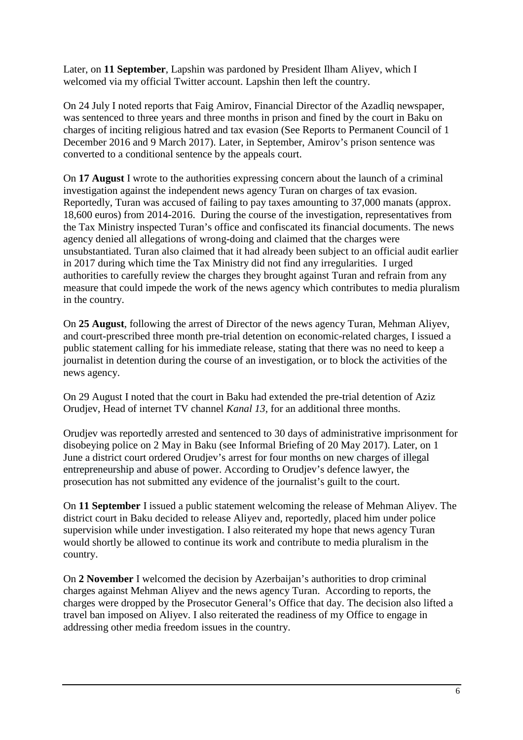Later, on **11 September**, Lapshin was pardoned by President Ilham Aliyev, which I welcomed via my official Twitter account. Lapshin then left the country.

On 24 July I noted reports that Faig Amirov, Financial Director of the Azadliq newspaper, was sentenced to three years and three months in prison and fined by the court in Baku on charges of inciting religious hatred and tax evasion (See Reports to Permanent Council of 1 December 2016 and 9 March 2017). Later, in September, Amirov's prison sentence was converted to a conditional sentence by the appeals court.

On **17 August** I wrote to the authorities expressing concern about the launch of a criminal investigation against the independent news agency Turan on charges of tax evasion. Reportedly, Turan was accused of failing to pay taxes amounting to 37,000 manats (approx. 18,600 euros) from 2014-2016. During the course of the investigation, representatives from the Tax Ministry inspected Turan's office and confiscated its financial documents. The news agency denied all allegations of wrong-doing and claimed that the charges were unsubstantiated. Turan also claimed that it had already been subject to an official audit earlier in 2017 during which time the Tax Ministry did not find any irregularities. I urged authorities to carefully review the charges they brought against Turan and refrain from any measure that could impede the work of the news agency which contributes to media pluralism in the country.

On **25 August**, following the arrest of Director of the news agency Turan, Mehman Aliyev, and court-prescribed three month pre-trial detention on economic-related charges, I issued a public statement calling for his immediate release, stating that there was no need to keep a journalist in detention during the course of an investigation, or to block the activities of the news agency.

On 29 August I noted that the court in Baku had extended the pre-trial detention of Aziz Orudjev, Head of internet TV channel *Kanal 13,* for an additional three months.

Orudjev was reportedly arrested and sentenced to 30 days of administrative imprisonment for disobeying police on 2 May in Baku (see Informal Briefing of 20 May 2017). Later, on 1 June a district court ordered Orudjev's arrest for four months on new charges of illegal entrepreneurship and abuse of power. According to Orudjev's defence lawyer, the prosecution has not submitted any evidence of the journalist's guilt to the court.

On **11 September** I issued a public statement welcoming the release of Mehman Aliyev. The district court in Baku decided to release Aliyev and, reportedly, placed him under police supervision while under investigation. I also reiterated my hope that news agency Turan would shortly be allowed to continue its work and contribute to media pluralism in the country.

On **2 November** I welcomed the decision by Azerbaijan's authorities to drop criminal charges against Mehman Aliyev and the news agency Turan. According to reports, the charges were dropped by the Prosecutor General's Office that day. The decision also lifted a travel ban imposed on Aliyev. I also reiterated the readiness of my Office to engage in addressing other media freedom issues in the country.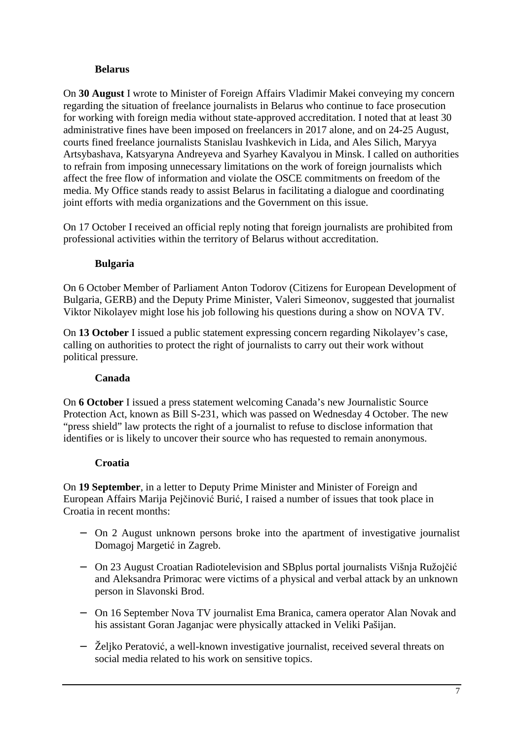## **Belarus**

On **30 August** I wrote to Minister of Foreign Affairs Vladimir Makei conveying my concern regarding the situation of freelance journalists in Belarus who continue to face prosecution for working with foreign media without state-approved accreditation. I noted that at least 30 administrative fines have been imposed on freelancers in 2017 alone, and on 24-25 August, courts fined freelance journalists Stanislau Ivashkevich in Lida, and Ales Silich, Maryya Artsybashava, Katsyaryna Andreyeva and Syarhey Kavalyou in Minsk. I called on authorities to refrain from imposing unnecessary limitations on the work of foreign journalists which affect the free flow of information and violate the OSCE commitments on freedom of the media. My Office stands ready to assist Belarus in facilitating a dialogue and coordinating joint efforts with media organizations and the Government on this issue.

On 17 October I received an official reply noting that foreign journalists are prohibited from professional activities within the territory of Belarus without accreditation.

## **Bulgaria**

On 6 October Member of Parliament Anton Todorov (Citizens for European Development of Bulgaria, GERB) and the Deputy Prime Minister, Valeri Simeonov, suggested that journalist Viktor Nikolayev might lose his job following his questions during a show on NOVA TV.

On **13 October** I issued a public statement expressing concern regarding Nikolayev's case, calling on authorities to protect the right of journalists to carry out their work without political pressure.

### **Canada**

On **6 October** I issued a press statement welcoming Canada's new Journalistic Source Protection Act, known as Bill S-231, which was passed on Wednesday 4 October. The new "press shield" law protects the right of a journalist to refuse to disclose information that identifies or is likely to uncover their source who has requested to remain anonymous.

### **Croatia**

On **19 September**, in a letter to Deputy Prime Minister and Minister of Foreign and European Affairs Marija Pejčinović Burić, I raised a number of issues that took place in Croatia in recent months:

- − On 2 August unknown persons broke into the apartment of investigative journalist Domagoj Margetić in Zagreb.
- − On 23 August Croatian Radiotelevision and SBplus portal journalists Višnja Ružojčić and Aleksandra Primorac were victims of a physical and verbal attack by an unknown person in Slavonski Brod.
- − On 16 September Nova TV journalist Ema Branica, camera operator Alan Novak and his assistant Goran Jaganjac were physically attacked in Veliki Pašijan.
- − Željko Peratović, a well-known investigative journalist, received several threats on social media related to his work on sensitive topics.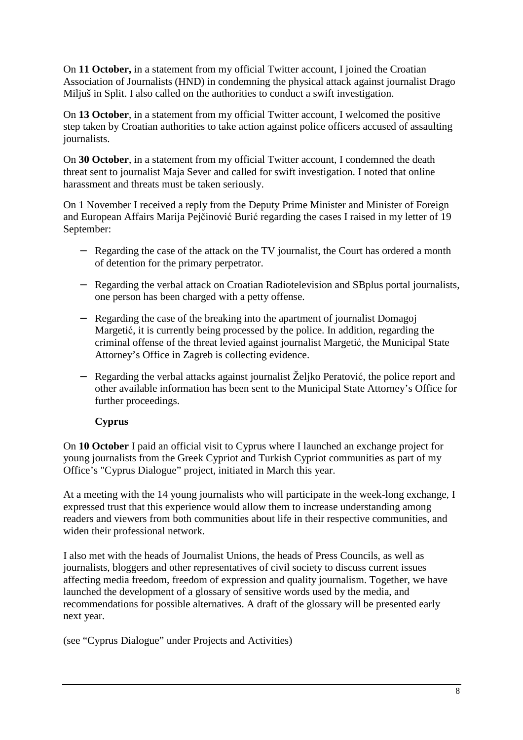On **11 October,** in a statement from my official Twitter account, I joined the Croatian Association of Journalists (HND) in condemning the physical attack against journalist Drago Miljuš in Split. I also called on the authorities to conduct a swift investigation.

On **13 October**, in a statement from my official Twitter account, I welcomed the positive step taken by Croatian authorities to take action against police officers accused of assaulting journalists.

On **30 October**, in a statement from my official Twitter account, I condemned the death threat sent to journalist Maja Sever and called for swift investigation. I noted that online harassment and threats must be taken seriously.

On 1 November I received a reply from the Deputy Prime Minister and Minister of Foreign and European Affairs Marija Pejčinović Burić regarding the cases I raised in my letter of 19 September:

- − Regarding the case of the attack on the TV journalist, the Court has ordered a month of detention for the primary perpetrator.
- − Regarding the verbal attack on Croatian Radiotelevision and SBplus portal journalists, one person has been charged with a petty offense.
- − Regarding the case of the breaking into the apartment of journalist Domagoj Margetić, it is currently being processed by the police. In addition, regarding the criminal offense of the threat levied against journalist Margetić, the Municipal State Attorney's Office in Zagreb is collecting evidence.
- − Regarding the verbal attacks against journalist Željko Peratović, the police report and other available information has been sent to the Municipal State Attorney's Office for further proceedings.

### **Cyprus**

On **10 October** I paid an official visit to Cyprus where I launched an exchange project for young journalists from the Greek Cypriot and Turkish Cypriot communities as part of my Office's "Cyprus Dialogue" project, initiated in March this year.

At a meeting with the 14 young journalists who will participate in the week-long exchange, I expressed trust that this experience would allow them to increase understanding among readers and viewers from both communities about life in their respective communities, and widen their professional network.

I also met with the heads of Journalist Unions, the heads of Press Councils, as well as journalists, bloggers and other representatives of civil society to discuss current issues affecting media freedom, freedom of expression and quality journalism. Together, we have launched the development of a glossary of sensitive words used by the media, and recommendations for possible alternatives. A draft of the glossary will be presented early next year.

(see "Cyprus Dialogue" under Projects and Activities)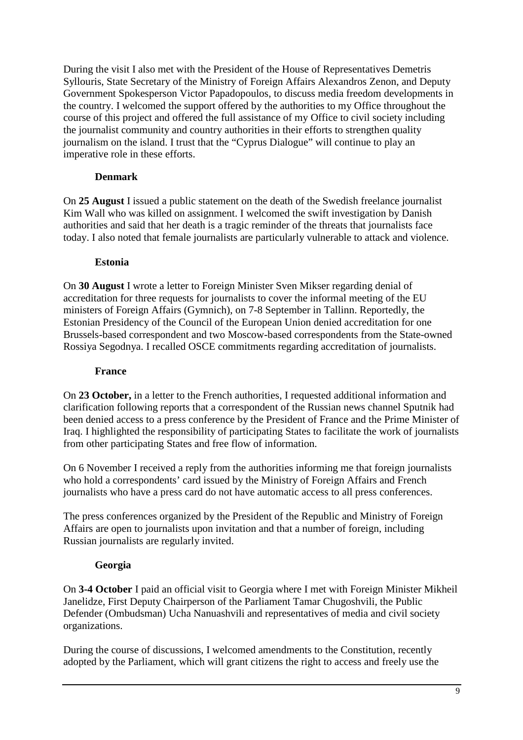During the visit I also met with the President of the House of Representatives Demetris Syllouris, State Secretary of the Ministry of Foreign Affairs Alexandros Zenon, and Deputy Government Spokesperson Victor Papadopoulos, to discuss media freedom developments in the country. I welcomed the support offered by the authorities to my Office throughout the course of this project and offered the full assistance of my Office to civil society including the journalist community and country authorities in their efforts to strengthen quality journalism on the island. I trust that the "Cyprus Dialogue" will continue to play an imperative role in these efforts.

## **Denmark**

On **25 August** I issued a public statement on the death of the Swedish freelance journalist Kim Wall who was killed on assignment. I welcomed the swift investigation by Danish authorities and said that her death is a tragic reminder of the threats that journalists face today. I also noted that female journalists are particularly vulnerable to attack and violence.

## **Estonia**

On **30 August** I wrote a letter to Foreign Minister Sven Mikser regarding denial of accreditation for three requests for journalists to cover the informal meeting of the EU ministers of Foreign Affairs (Gymnich), on 7-8 September in Tallinn. Reportedly, the Estonian Presidency of the Council of the European Union denied accreditation for one Brussels-based correspondent and two Moscow-based correspondents from the State-owned Rossiya Segodnya. I recalled OSCE commitments regarding accreditation of journalists.

### **France**

On **23 October,** in a letter to the French authorities, I requested additional information and clarification following reports that a correspondent of the Russian news channel Sputnik had been denied access to a press conference by the President of France and the Prime Minister of Iraq. I highlighted the responsibility of participating States to facilitate the work of journalists from other participating States and free flow of information.

On 6 November I received a reply from the authorities informing me that foreign journalists who hold a correspondents' card issued by the Ministry of Foreign Affairs and French journalists who have a press card do not have automatic access to all press conferences.

The press conferences organized by the President of the Republic and Ministry of Foreign Affairs are open to journalists upon invitation and that a number of foreign, including Russian journalists are regularly invited.

## **Georgia**

On **3-4 October** I paid an official visit to Georgia where I met with Foreign Minister Mikheil Janelidze, First Deputy Chairperson of the Parliament Tamar Chugoshvili, the Public Defender (Ombudsman) Ucha Nanuashvili and representatives of media and civil society organizations.

During the course of discussions, I welcomed amendments to the Constitution, recently adopted by the Parliament, which will grant citizens the right to access and freely use the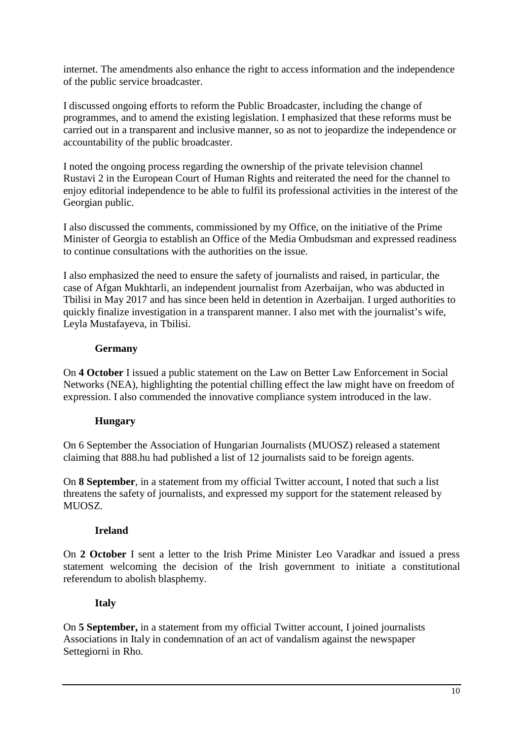internet. The amendments also enhance the right to access information and the independence of the public service broadcaster.

I discussed ongoing efforts to reform the Public Broadcaster, including the change of programmes, and to amend the existing legislation. I emphasized that these reforms must be carried out in a transparent and inclusive manner, so as not to jeopardize the independence or accountability of the public broadcaster.

I noted the ongoing process regarding the ownership of the private television channel Rustavi 2 in the European Court of Human Rights and reiterated the need for the channel to enjoy editorial independence to be able to fulfil its professional activities in the interest of the Georgian public.

I also discussed the comments, commissioned by my Office, on the initiative of the Prime Minister of Georgia to establish an Office of the Media Ombudsman and expressed readiness to continue consultations with the authorities on the issue.

I also emphasized the need to ensure the safety of journalists and raised, in particular, the case of Afgan Mukhtarli, an independent journalist from Azerbaijan, who was abducted in Tbilisi in May 2017 and has since been held in detention in Azerbaijan. I urged authorities to quickly finalize investigation in a transparent manner. I also met with the journalist's wife, Leyla Mustafayeva, in Tbilisi.

### **Germany**

On **4 October** I issued a public statement on the Law on Better Law Enforcement in Social Networks (NEA), highlighting the potential chilling effect the law might have on freedom of expression. I also commended the innovative compliance system introduced in the law.

### **Hungary**

On 6 September the Association of Hungarian Journalists (MUOSZ) released a statement claiming that 888.hu had published a list of 12 journalists said to be foreign agents.

On **8 September**, in a statement from my official Twitter account, I noted that such a list threatens the safety of journalists, and expressed my support for the statement released by MUOSZ.

### **Ireland**

On **2 October** I sent a letter to the Irish Prime Minister Leo Varadkar and issued a press statement welcoming the decision of the Irish government to initiate a constitutional referendum to abolish blasphemy.

### **Italy**

On **5 September,** in a statement from my official Twitter account, I joined journalists Associations in Italy in condemnation of an act of vandalism against the newspaper Settegiorni in Rho.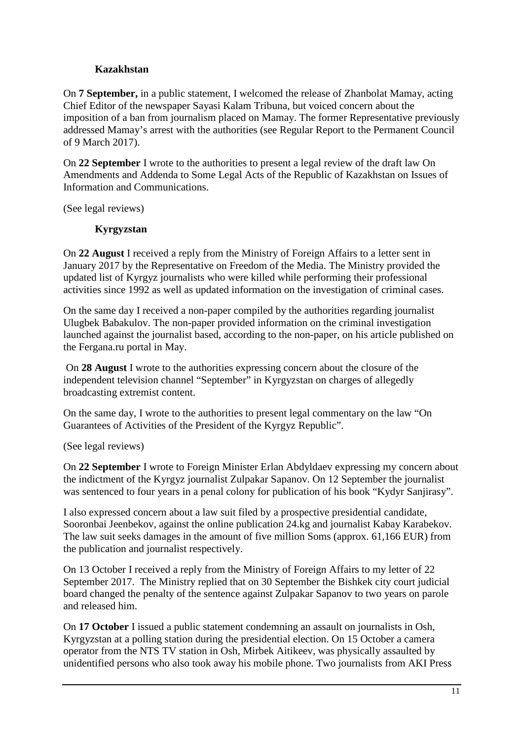## **Kazakhstan**

On **7 September,** in a public statement, I welcomed the release of Zhanbolat Mamay, acting Chief Editor of the newspaper Sayasi Kalam Tribuna, but voiced concern about the imposition of a ban from journalism placed on Mamay. The former Representative previously addressed Mamay's arrest with the authorities (see Regular Report to the Permanent Council of 9 March 2017).

On **22 September** I wrote to the authorities to present a legal review of the draft law On Amendments and Addenda to Some Legal Acts of the Republic of Kazakhstan on Issues of Information and Communications.

(See legal reviews)

## **Kyrgyzstan**

On **22 August** I received a reply from the Ministry of Foreign Affairs to a letter sent in January 2017 by the Representative on Freedom of the Media. The Ministry provided the updated list of Kyrgyz journalists who were killed while performing their professional activities since 1992 as well as updated information on the investigation of criminal cases.

On the same day I received a non-paper compiled by the authorities regarding journalist Ulugbek Babakulov. The non-paper provided information on the criminal investigation launched against the journalist based, according to the non-paper, on his article published on the Fergana.ru portal in May.

 On **28 August** I wrote to the authorities expressing concern about the closure of the independent television channel "September" in Kyrgyzstan on charges of allegedly broadcasting extremist content.

On the same day, I wrote to the authorities to present legal commentary on the law "On Guarantees of Activities of the President of the Kyrgyz Republic".

### (See legal reviews)

On **22 September** I wrote to Foreign Minister Erlan Abdyldaev expressing my concern about the indictment of the Kyrgyz journalist Zulpakar Sapanov. On 12 September the journalist was sentenced to four years in a penal colony for publication of his book "Kydyr Sanjirasy".

I also expressed concern about a law suit filed by a prospective presidential candidate, Sooronbai Jeenbekov, against the online publication 24.kg and journalist Kabay Karabekov. The law suit seeks damages in the amount of five million Soms (approx. 61,166 EUR) from the publication and journalist respectively.

On 13 October I received a reply from the Ministry of Foreign Affairs to my letter of 22 September 2017. The Ministry replied that on 30 September the Bishkek city court judicial board changed the penalty of the sentence against Zulpakar Sapanov to two years on parole and released him.

On **17 October** I issued a public statement condemning an assault on journalists in Osh, Kyrgyzstan at a polling station during the presidential election. On 15 October a camera operator from the NTS TV station in Osh, Mirbek Aitikeev, was physically assaulted by unidentified persons who also took away his mobile phone. Two journalists from AKI Press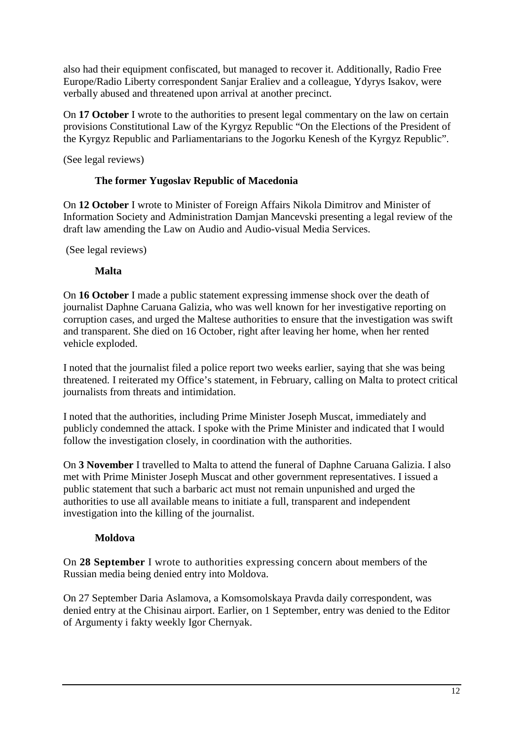also had their equipment confiscated, but managed to recover it. Additionally, Radio Free Europe/Radio Liberty correspondent Sanjar Eraliev and a colleague, Ydyrys Isakov, were verbally abused and threatened upon arrival at another precinct.

On **17 October** I wrote to the authorities to present legal commentary on the law on certain provisions Constitutional Law of the Kyrgyz Republic "On the Elections of the President of the Kyrgyz Republic and Parliamentarians to the Jogorku Kenesh of the Kyrgyz Republic".

(See legal reviews)

## **The former Yugoslav Republic of Macedonia**

On **12 October** I wrote to Minister of Foreign Affairs Nikola Dimitrov and Minister of Information Society and Administration Damjan Mancevski presenting a legal review of the draft law amending the Law on Audio and Audio-visual Media Services.

(See legal reviews)

### **Malta**

On **16 October** I made a public statement expressing immense shock over the death of journalist Daphne Caruana Galizia, who was well known for her investigative reporting on corruption cases, and urged the Maltese authorities to ensure that the investigation was swift and transparent. She died on 16 October, right after leaving her home, when her rented vehicle exploded.

I noted that the journalist filed a police report two weeks earlier, saying that she was being threatened. I reiterated my Office's statement, in February, calling on Malta to protect critical journalists from threats and intimidation.

I noted that the authorities, including Prime Minister Joseph Muscat, immediately and publicly condemned the attack. I spoke with the Prime Minister and indicated that I would follow the investigation closely, in coordination with the authorities.

On **3 November** I travelled to Malta to attend the funeral of Daphne Caruana Galizia. I also met with Prime Minister Joseph Muscat and other government representatives. I issued a public statement that such a barbaric act must not remain unpunished and urged the authorities to use all available means to initiate a full, transparent and independent investigation into the killing of the journalist.

### **Moldova**

On **28 September** I wrote to authorities expressing concern about members of the Russian media being denied entry into Moldova.

On 27 September Daria Aslamova, a Komsomolskaya Pravda daily correspondent, was denied entry at the Chisinau airport. Earlier, on 1 September, entry was denied to the Editor of Argumenty i fakty weekly Igor Chernyak.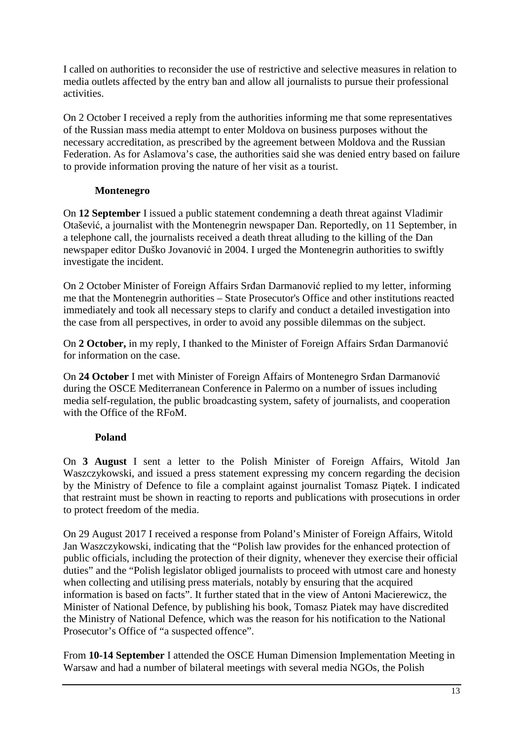I called on authorities to reconsider the use of restrictive and selective measures in relation to media outlets affected by the entry ban and allow all journalists to pursue their professional activities.

On 2 October I received a reply from the authorities informing me that some representatives of the Russian mass media attempt to enter Moldova on business purposes without the necessary accreditation, as prescribed by the agreement between Moldova and the Russian Federation. As for Aslamova's case, the authorities said she was denied entry based on failure to provide information proving the nature of her visit as a tourist.

## **Montenegro**

On **12 September** I issued a public statement condemning a death threat against Vladimir Otašević, a journalist with the Montenegrin newspaper Dan. Reportedly, on 11 September, in a telephone call, the journalists received a death threat alluding to the killing of the Dan newspaper editor Duško Jovanović in 2004. I urged the Montenegrin authorities to swiftly investigate the incident.

On 2 October Minister of Foreign Affairs Srđan Darmanović replied to my letter, informing me that the Montenegrin authorities – State Prosecutor's Office and other institutions reacted immediately and took all necessary steps to clarify and conduct a detailed investigation into the case from all perspectives, in order to avoid any possible dilemmas on the subject.

On **2 October,** in my reply, I thanked to the Minister of Foreign Affairs Srđan Darmanović for information on the case.

On **24 October** I met with Minister of Foreign Affairs of Montenegro Srđan Darmanović during the OSCE Mediterranean Conference in Palermo on a number of issues including media self-regulation, the public broadcasting system, safety of journalists, and cooperation with the Office of the RFoM.

## **Poland**

On **3 August** I sent a letter to the Polish Minister of Foreign Affairs, Witold Jan Waszczykowski, and issued a press statement expressing my concern regarding the decision by the Ministry of Defence to file a complaint against journalist Tomasz Piątek. I indicated that restraint must be shown in reacting to reports and publications with prosecutions in order to protect freedom of the media.

On 29 August 2017 I received a response from Poland's Minister of Foreign Affairs, Witold Jan Waszczykowski, indicating that the "Polish law provides for the enhanced protection of public officials, including the protection of their dignity, whenever they exercise their official duties" and the "Polish legislator obliged journalists to proceed with utmost care and honesty when collecting and utilising press materials, notably by ensuring that the acquired information is based on facts". It further stated that in the view of Antoni Macierewicz, the Minister of National Defence, by publishing his book, Tomasz Piatek may have discredited the Ministry of National Defence, which was the reason for his notification to the National Prosecutor's Office of "a suspected offence".

From **10-14 September** I attended the OSCE Human Dimension Implementation Meeting in Warsaw and had a number of bilateral meetings with several media NGOs, the Polish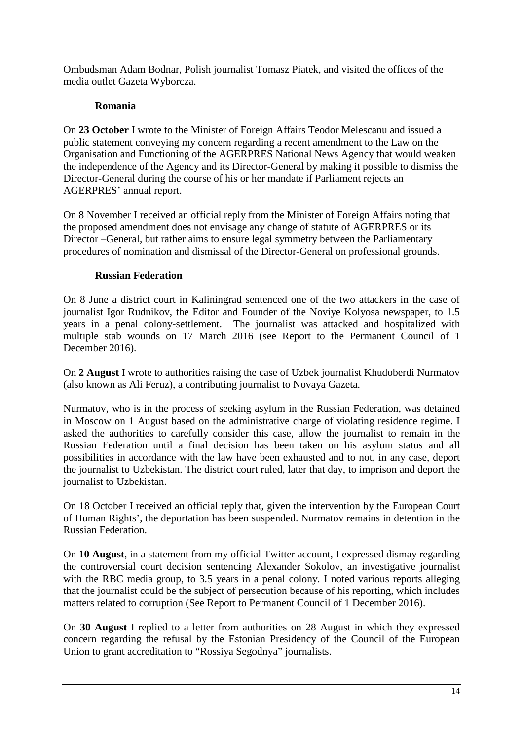Ombudsman Adam Bodnar, Polish journalist Tomasz Piatek, and visited the offices of the media outlet Gazeta Wyborcza.

## **Romania**

On **23 October** I wrote to the Minister of Foreign Affairs Teodor Melescanu and issued a public statement conveying my concern regarding a recent amendment to the Law on the Organisation and Functioning of the AGERPRES National News Agency that would weaken the independence of the Agency and its Director-General by making it possible to dismiss the Director-General during the course of his or her mandate if Parliament rejects an AGERPRES' annual report.

On 8 November I received an official reply from the Minister of Foreign Affairs noting that the proposed amendment does not envisage any change of statute of AGERPRES or its Director –General, but rather aims to ensure legal symmetry between the Parliamentary procedures of nomination and dismissal of the Director-General on professional grounds.

## **Russian Federation**

On 8 June a district court in Kaliningrad sentenced one of the two attackers in the case of journalist Igor Rudnikov, the Editor and Founder of the Noviye Kolyosa newspaper, to 1.5 years in a penal colony-settlement. The journalist was attacked and hospitalized with multiple stab wounds on 17 March 2016 (see Report to the Permanent Council of 1 December 2016).

On **2 August** I wrote to authorities raising the case of Uzbek journalist Khudoberdi Nurmatov (also known as Ali Feruz), a contributing journalist to Novaya Gazeta.

Nurmatov, who is in the process of seeking asylum in the Russian Federation, was detained in Moscow on 1 August based on the administrative charge of violating residence regime. I asked the authorities to carefully consider this case, allow the journalist to remain in the Russian Federation until a final decision has been taken on his asylum status and all possibilities in accordance with the law have been exhausted and to not, in any case, deport the journalist to Uzbekistan. The district court ruled, later that day, to imprison and deport the journalist to Uzbekistan.

On 18 October I received an official reply that, given the intervention by the European Court of Human Rights', the deportation has been suspended. Nurmatov remains in detention in the Russian Federation.

On **10 August**, in a statement from my official Twitter account, I expressed dismay regarding the controversial court decision sentencing Alexander Sokolov, an investigative journalist with the RBC media group, to 3.5 years in a penal colony. I noted various reports alleging that the journalist could be the subject of persecution because of his reporting, which includes matters related to corruption (See Report to Permanent Council of 1 December 2016).

On **30 August** I replied to a letter from authorities on 28 August in which they expressed concern regarding the refusal by the Estonian Presidency of the Council of the European Union to grant accreditation to "Rossiya Segodnya" journalists.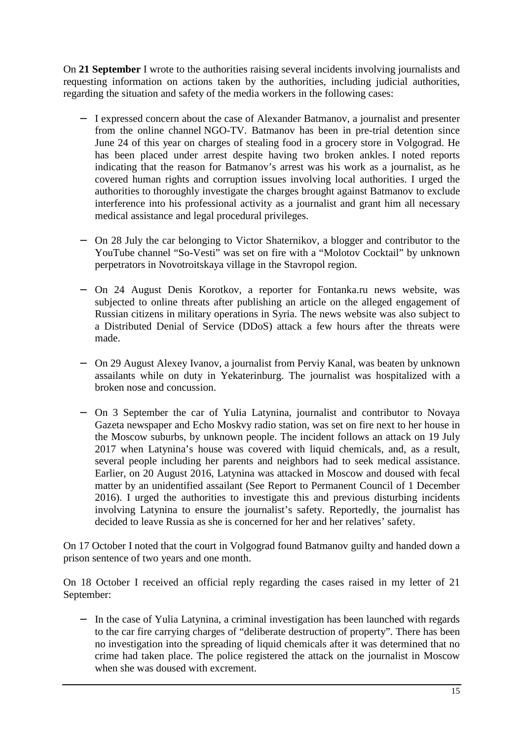On **21 September** I wrote to the authorities raising several incidents involving journalists and requesting information on actions taken by the authorities, including judicial authorities, regarding the situation and safety of the media workers in the following cases:

- − I expressed concern about the case of Alexander Batmanov, a journalist and presenter from the online channel NGO-TV. Batmanov has been in pre-trial detention since June 24 of this year on charges of stealing food in a grocery store in Volgograd. He has been placed under arrest despite having two broken ankles. I noted reports indicating that the reason for Batmanov's arrest was his work as a journalist, as he covered human rights and corruption issues involving local authorities. I urged the authorities to thoroughly investigate the charges brought against Batmanov to exclude interference into his professional activity as a journalist and grant him all necessary medical assistance and legal procedural privileges.
- − On 28 July the car belonging to Victor Shaternikov, a blogger and contributor to the YouTube channel "So-Vesti" was set on fire with a "Molotov Cocktail" by unknown perpetrators in Novotroitskaya village in the Stavropol region.
- − On 24 August Denis Korotkov, a reporter for Fontanka.ru news website, was subjected to online threats after publishing an article on the alleged engagement of Russian citizens in military operations in Syria. The news website was also subject to a Distributed Denial of Service (DDoS) attack a few hours after the threats were made.
- − On 29 August Alexey Ivanov, a journalist from Perviy Kanal, was beaten by unknown assailants while on duty in Yekaterinburg. The journalist was hospitalized with a broken nose and concussion.
- − On 3 September the car of Yulia Latynina, journalist and contributor to Novaya Gazeta newspaper and Echo Moskvy radio station, was set on fire next to her house in the Moscow suburbs, by unknown people. The incident follows an attack on 19 July 2017 when Latynina's house was covered with liquid chemicals, and, as a result, several people including her parents and neighbors had to seek medical assistance. Earlier, on 20 August 2016, Latynina was attacked in Moscow and doused with fecal matter by an unidentified assailant (See Report to Permanent Council of 1 December 2016). I urged the authorities to investigate this and previous disturbing incidents involving Latynina to ensure the journalist's safety. Reportedly, the journalist has decided to leave Russia as she is concerned for her and her relatives' safety.

On 17 October I noted that the court in Volgograd found Batmanov guilty and handed down a prison sentence of two years and one month.

On 18 October I received an official reply regarding the cases raised in my letter of 21 September:

− In the case of Yulia Latynina, a criminal investigation has been launched with regards to the car fire carrying charges of "deliberate destruction of property". There has been no investigation into the spreading of liquid chemicals after it was determined that no crime had taken place. The police registered the attack on the journalist in Moscow when she was doused with excrement.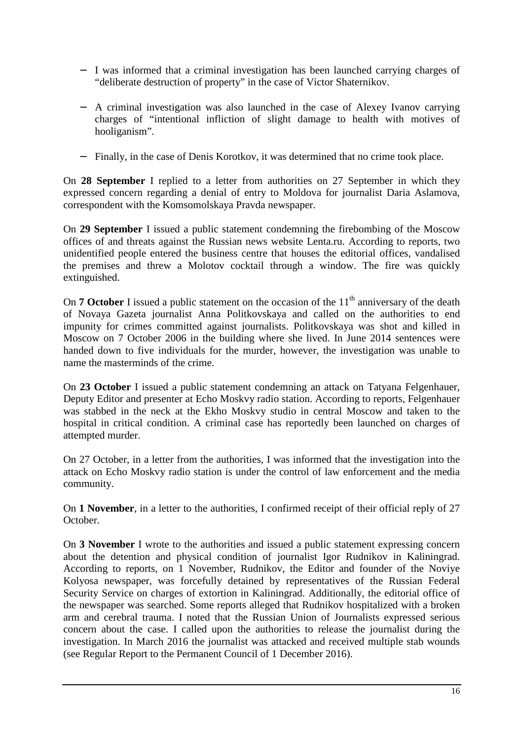- − I was informed that a criminal investigation has been launched carrying charges of "deliberate destruction of property" in the case of Victor Shaternikov.
- − A criminal investigation was also launched in the case of Alexey Ivanov carrying charges of "intentional infliction of slight damage to health with motives of hooliganism".
- − Finally, in the case of Denis Korotkov, it was determined that no crime took place.

On **28 September** I replied to a letter from authorities on 27 September in which they expressed concern regarding a denial of entry to Moldova for journalist Daria Aslamova, correspondent with the Komsomolskaya Pravda newspaper.

On **29 September** I issued a public statement condemning the firebombing of the Moscow offices of and threats against the Russian news website Lenta.ru. According to reports, two unidentified people entered the business centre that houses the editorial offices, vandalised the premises and threw a Molotov cocktail through a window. The fire was quickly extinguished.

On **7 October** I issued a public statement on the occasion of the  $11<sup>th</sup>$  anniversary of the death of Novaya Gazeta journalist Anna Politkovskaya and called on the authorities to end impunity for crimes committed against journalists. Politkovskaya was shot and killed in Moscow on 7 October 2006 in the building where she lived. In June 2014 sentences were handed down to five individuals for the murder, however, the investigation was unable to name the masterminds of the crime.

On **23 October** I issued a public statement condemning an attack on Tatyana Felgenhauer, Deputy Editor and presenter at Echo Moskvy radio station. According to reports, Felgenhauer was stabbed in the neck at the Ekho Moskvy studio in central Moscow and taken to the hospital in critical condition. A criminal case has reportedly been launched on charges of attempted murder.

On 27 October, in a letter from the authorities, I was informed that the investigation into the attack on Echo Moskvy radio station is under the control of law enforcement and the media community.

On **1 November**, in a letter to the authorities, I confirmed receipt of their official reply of 27 October.

On **3 November** I wrote to the authorities and issued a public statement expressing concern about the detention and physical condition of journalist Igor Rudnikov in Kaliningrad. According to reports, on 1 November, Rudnikov, the Editor and founder of the Noviye Kolyosa newspaper, was forcefully detained by representatives of the Russian Federal Security Service on charges of extortion in Kaliningrad. Additionally, the editorial office of the newspaper was searched. Some reports alleged that Rudnikov hospitalized with a broken arm and cerebral trauma. I noted that the Russian Union of Journalists expressed serious concern about the case. I called upon the authorities to release the journalist during the investigation. In March 2016 the journalist was attacked and received multiple stab wounds (see Regular Report to the Permanent Council of 1 December 2016).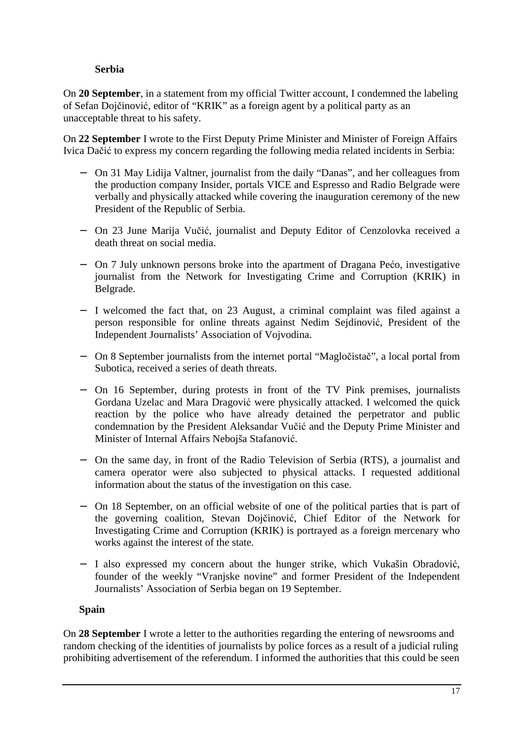## **Serbia**

On **20 September**, in a statement from my official Twitter account, I condemned the labeling of Sefan Dojčinović, editor of "KRIK" as a foreign agent by a political party as an unacceptable threat to his safety.

On **22 September** I wrote to the First Deputy Prime Minister and Minister of Foreign Affairs Ivica Dačić to express my concern regarding the following media related incidents in Serbia:

- − On 31 May Lidija Valtner, journalist from the daily "Danas", and her colleagues from the production company Insider, portals VICE and Espresso and Radio Belgrade were verbally and physically attacked while covering the inauguration ceremony of the new President of the Republic of Serbia.
- − On 23 June Marija Vučić, journalist and Deputy Editor of Cenzolovka received a death threat on social media.
- − On 7 July unknown persons broke into the apartment of Dragana Pećo, investigative journalist from the Network for Investigating Crime and Corruption (KRIK) in Belgrade.
- − I welcomed the fact that, on 23 August, a criminal complaint was filed against a person responsible for online threats against Nedim Sejdinović, President of the Independent Journalists' Association of Vojvodina.
- − On 8 September journalists from the internet portal "Magločistač", a local portal from Subotica, received a series of death threats.
- − On 16 September, during protests in front of the TV Pink premises, journalists Gordana Uzelac and Mara Dragović were physically attacked. I welcomed the quick reaction by the police who have already detained the perpetrator and public condemnation by the President Aleksandar Vučić and the Deputy Prime Minister and Minister of Internal Affairs Nebojša Stafanović.
- − On the same day, in front of the Radio Television of Serbia (RTS), a journalist and camera operator were also subjected to physical attacks. I requested additional information about the status of the investigation on this case.
- − On 18 September, on an official website of one of the political parties that is part of the governing coalition, Stevan Dojčinović, Chief Editor of the Network for Investigating Crime and Corruption (KRIK) is portrayed as a foreign mercenary who works against the interest of the state.
- − I also expressed my concern about the hunger strike, which Vukašin Obradović, founder of the weekly "Vranjske novine" and former President of the Independent Journalists' Association of Serbia began on 19 September.

### **Spain**

On **28 September** I wrote a letter to the authorities regarding the entering of newsrooms and random checking of the identities of journalists by police forces as a result of a judicial ruling prohibiting advertisement of the referendum. I informed the authorities that this could be seen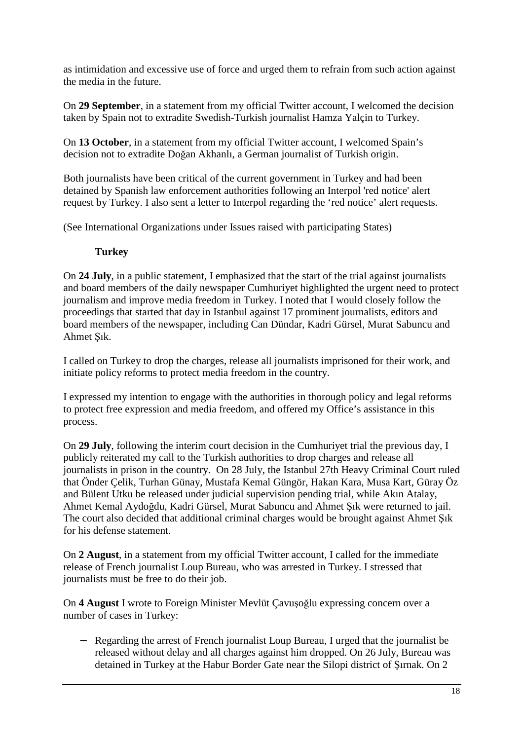as intimidation and excessive use of force and urged them to refrain from such action against the media in the future.

On **29 September**, in a statement from my official Twitter account, I welcomed the decision taken by Spain not to extradite Swedish-Turkish journalist Hamza Yalçin to Turkey.

On **13 October**, in a statement from my official Twitter account, I welcomed Spain's decision not to extradite Doğan Akhanlı, a German journalist of Turkish origin.

Both journalists have been critical of the current government in Turkey and had been detained by Spanish law enforcement authorities following an Interpol 'red notice' alert request by Turkey. I also sent a letter to Interpol regarding the 'red notice' alert requests.

(See International Organizations under Issues raised with participating States)

## **Turkey**

On **24 July**, in a public statement, I emphasized that the start of the trial against journalists and board members of the daily newspaper Cumhuriyet highlighted the urgent need to protect journalism and improve media freedom in Turkey. I noted that I would closely follow the proceedings that started that day in Istanbul against 17 prominent journalists, editors and board members of the newspaper, including Can Dündar, Kadri Gürsel, Murat Sabuncu and Ahmet Şık.

I called on Turkey to drop the charges, release all journalists imprisoned for their work, and initiate policy reforms to protect media freedom in the country.

I expressed my intention to engage with the authorities in thorough policy and legal reforms to protect free expression and media freedom, and offered my Office's assistance in this process.

On **29 July**, following the interim court decision in the Cumhuriyet trial the previous day, I publicly reiterated my call to the Turkish authorities to drop charges and release all journalists in prison in the country. On 28 July, the Istanbul 27th Heavy Criminal Court ruled that Önder Çelik, Turhan Günay, Mustafa Kemal Güngör, Hakan Kara, Musa Kart, Güray Öz and Bülent Utku be released under judicial supervision pending trial, while Akın Atalay, Ahmet Kemal Aydoğdu, Kadri Gürsel, Murat Sabuncu and Ahmet Şık were returned to jail. The court also decided that additional criminal charges would be brought against Ahmet Şık for his defense statement.

On **2 August**, in a statement from my official Twitter account, I called for the immediate release of French journalist Loup Bureau, who was arrested in Turkey. I stressed that journalists must be free to do their job.

On **4 August** I wrote to Foreign Minister Mevlüt Çavuşoğlu expressing concern over a number of cases in Turkey:

− Regarding the arrest of French journalist Loup Bureau, I urged that the journalist be released without delay and all charges against him dropped. On 26 July, Bureau was detained in Turkey at the Habur Border Gate near the Silopi district of Şırnak. On 2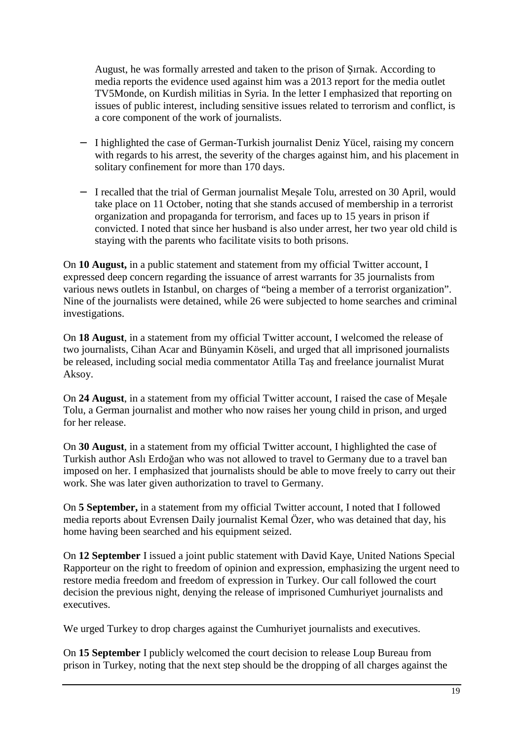August, he was formally arrested and taken to the prison of Şırnak. According to media reports the evidence used against him was a 2013 report for the media outlet TV5Monde, on Kurdish militias in Syria. In the letter I emphasized that reporting on issues of public interest, including sensitive issues related to terrorism and conflict, is a core component of the work of journalists.

- − I highlighted the case of German-Turkish journalist Deniz Yücel, raising my concern with regards to his arrest, the severity of the charges against him, and his placement in solitary confinement for more than 170 days.
- − I recalled that the trial of German journalist Meşale Tolu, arrested on 30 April, would take place on 11 October, noting that she stands accused of membership in a terrorist organization and propaganda for terrorism, and faces up to 15 years in prison if convicted. I noted that since her husband is also under arrest, her two year old child is staying with the parents who facilitate visits to both prisons.

On **10 August,** in a public statement and statement from my official Twitter account, I expressed deep concern regarding the issuance of arrest warrants for 35 journalists from various news outlets in Istanbul, on charges of "being a member of a terrorist organization". Nine of the journalists were detained, while 26 were subjected to home searches and criminal investigations.

On **18 August**, in a statement from my official Twitter account, I welcomed the release of two journalists, Cihan Acar and Bünyamin Köseli, and urged that all imprisoned journalists be released, including social media commentator Atilla Taş and freelance journalist Murat Aksoy.

On **24 August**, in a statement from my official Twitter account, I raised the case of Meşale Tolu, a German journalist and mother who now raises her young child in prison, and urged for her release.

On **30 August**, in a statement from my official Twitter account, I highlighted the case of Turkish author Aslı Erdoğan who was not allowed to travel to Germany due to a travel ban imposed on her. I emphasized that journalists should be able to move freely to carry out their work. She was later given authorization to travel to Germany.

On **5 September,** in a statement from my official Twitter account, I noted that I followed media reports about Evrensen Daily journalist Kemal Özer, who was detained that day, his home having been searched and his equipment seized.

On **12 September** I issued a joint public statement with David Kaye, United Nations Special Rapporteur on the right to freedom of opinion and expression, emphasizing the urgent need to restore media freedom and freedom of expression in Turkey. Our call followed the court decision the previous night, denying the release of imprisoned Cumhuriyet journalists and executives.

We urged Turkey to drop charges against the Cumhuriyet journalists and executives.

On **15 September** I publicly welcomed the court decision to release Loup Bureau from prison in Turkey, noting that the next step should be the dropping of all charges against the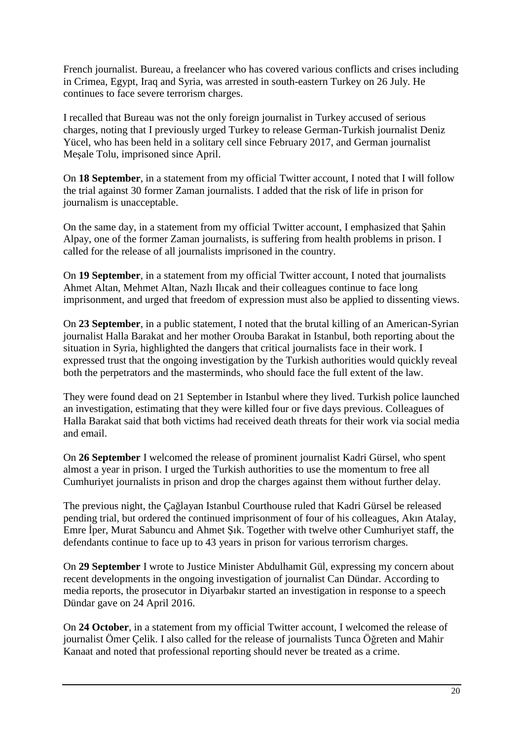French journalist. Bureau, a freelancer who has covered various conflicts and crises including in Crimea, Egypt, Iraq and Syria, was arrested in south-eastern Turkey on 26 July. He continues to face severe terrorism charges.

I recalled that Bureau was not the only foreign journalist in Turkey accused of serious charges, noting that I previously urged Turkey to release German-Turkish journalist Deniz Yücel, who has been held in a solitary cell since February 2017, and German journalist Meşale Tolu, imprisoned since April.

On **18 September**, in a statement from my official Twitter account, I noted that I will follow the trial against 30 former Zaman journalists. I added that the risk of life in prison for journalism is unacceptable.

On the same day, in a statement from my official Twitter account, I emphasized that Şahin Alpay, one of the former Zaman journalists, is suffering from health problems in prison. I called for the release of all journalists imprisoned in the country.

On **19 September**, in a statement from my official Twitter account, I noted that journalists Ahmet Altan, Mehmet Altan, Nazlı Ilıcak and their colleagues continue to face long imprisonment, and urged that freedom of expression must also be applied to dissenting views.

On **23 September**, in a public statement, I noted that the brutal killing of an American-Syrian journalist Halla Barakat and her mother Orouba Barakat in Istanbul, both reporting about the situation in Syria, highlighted the dangers that critical journalists face in their work. I expressed trust that the ongoing investigation by the Turkish authorities would quickly reveal both the perpetrators and the masterminds, who should face the full extent of the law.

They were found dead on 21 September in Istanbul where they lived. Turkish police launched an investigation, estimating that they were killed four or five days previous. Colleagues of Halla Barakat said that both victims had received death threats for their work via social media and email.

On **26 September** I welcomed the release of prominent journalist Kadri Gürsel, who spent almost a year in prison. I urged the Turkish authorities to use the momentum to free all Cumhuriyet journalists in prison and drop the charges against them without further delay.

The previous night, the Çağlayan Istanbul Courthouse ruled that Kadri Gürsel be released pending trial, but ordered the continued imprisonment of four of his colleagues, Akın Atalay, Emre İper, Murat Sabuncu and Ahmet Şık. Together with twelve other Cumhuriyet staff, the defendants continue to face up to 43 years in prison for various terrorism charges.

On **29 September** I wrote to Justice Minister Abdulhamit Gül, expressing my concern about recent developments in the ongoing investigation of journalist Can Dündar. According to media reports, the prosecutor in Diyarbakır started an investigation in response to a speech Dündar gave on 24 April 2016.

On **24 October**, in a statement from my official Twitter account, I welcomed the release of journalist Ömer Çelik. I also called for the release of journalists Tunca Öğreten and Mahir Kanaat and noted that professional reporting should never be treated as a crime.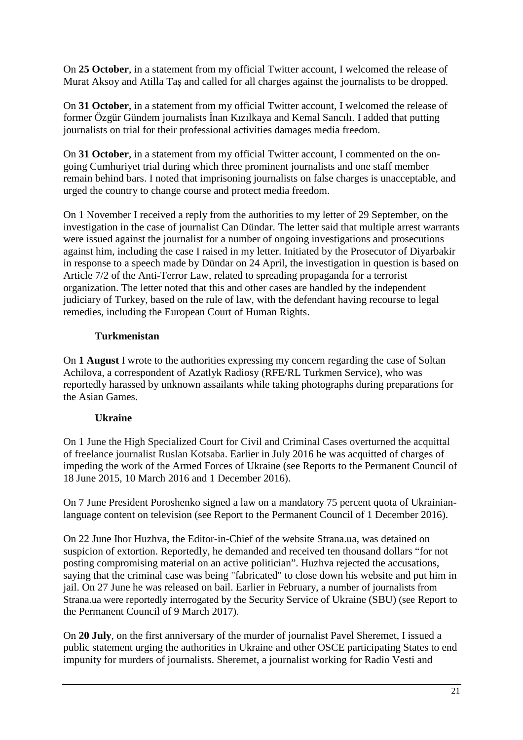On **25 October**, in a statement from my official Twitter account, I welcomed the release of Murat Aksoy and Atilla Taş and called for all charges against the journalists to be dropped.

On **31 October**, in a statement from my official Twitter account, I welcomed the release of former Özgür Gündem journalists İnan Kızılkaya and Kemal Sancılı. I added that putting journalists on trial for their professional activities damages media freedom.

On **31 October**, in a statement from my official Twitter account, I commented on the ongoing Cumhuriyet trial during which three prominent journalists and one staff member remain behind bars. I noted that imprisoning journalists on false charges is unacceptable, and urged the country to change course and protect media freedom.

On 1 November I received a reply from the authorities to my letter of 29 September, on the investigation in the case of journalist Can Dündar. The letter said that multiple arrest warrants were issued against the journalist for a number of ongoing investigations and prosecutions against him, including the case I raised in my letter. Initiated by the Prosecutor of Diyarbakir in response to a speech made by Dündar on 24 April, the investigation in question is based on Article 7/2 of the Anti-Terror Law, related to spreading propaganda for a terrorist organization. The letter noted that this and other cases are handled by the independent judiciary of Turkey, based on the rule of law, with the defendant having recourse to legal remedies, including the European Court of Human Rights.

## **Turkmenistan**

On **1 August** I wrote to the authorities expressing my concern regarding the case of Soltan Achilova, a correspondent of Azatlyk Radiosy (RFE/RL Turkmen Service), who was reportedly harassed by unknown assailants while taking photographs during preparations for the Asian Games.

## **Ukraine**

On 1 June the High Specialized Court for Civil and Criminal Cases overturned the acquittal of freelance journalist Ruslan Kotsaba. Earlier in July 2016 he was acquitted of charges of impeding the work of the Armed Forces of Ukraine (see Reports to the Permanent Council of 18 June 2015, 10 March 2016 and 1 December 2016).

On 7 June President Poroshenko signed a law on a mandatory 75 percent quota of Ukrainianlanguage content on television (see Report to the Permanent Council of 1 December 2016).

On 22 June Ihor Huzhva, the Editor-in-Chief of the website Strana.ua, was detained on suspicion of extortion. Reportedly, he demanded and received ten thousand dollars "for not posting compromising material on an active politician". Huzhva rejected the accusations, saying that the criminal case was being "fabricated" to close down his website and put him in jail. On 27 June he was released on bail. Earlier in February, a number of journalists from Strana.ua were reportedly interrogated by the Security Service of Ukraine (SBU) (see Report to the Permanent Council of 9 March 2017).

On **20 July**, on the first anniversary of the murder of journalist Pavel Sheremet, I issued a public statement urging the authorities in Ukraine and other OSCE participating States to end impunity for murders of journalists. Sheremet, a journalist working for Radio Vesti and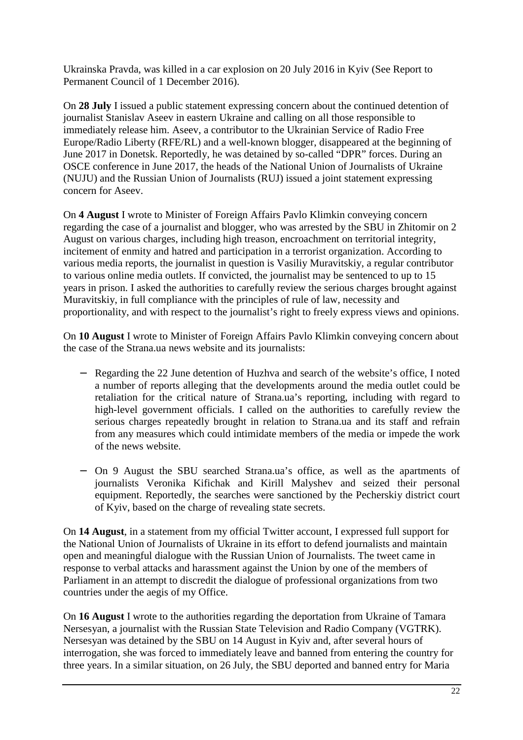Ukrainska Pravda, was killed in a car explosion on 20 July 2016 in Kyiv (See Report to Permanent Council of 1 December 2016).

On **28 July** I issued a public statement expressing concern about the continued detention of journalist Stanislav Aseev in eastern Ukraine and calling on all those responsible to immediately release him. Aseev, a contributor to the Ukrainian Service of Radio Free Europe/Radio Liberty (RFE/RL) and a well-known blogger, disappeared at the beginning of June 2017 in Donetsk. Reportedly, he was detained by so-called "DPR" forces. During an OSCE conference in June 2017, the heads of the National Union of Journalists of Ukraine (NUJU) and the Russian Union of Journalists (RUJ) issued a joint statement expressing concern for Aseev.

On **4 August** I wrote to Minister of Foreign Affairs Pavlo Klimkin conveying concern regarding the case of a journalist and blogger, who was arrested by the SBU in Zhitomir on 2 August on various charges, including high treason, encroachment on territorial integrity, incitement of enmity and hatred and participation in a terrorist organization. According to various media reports, the journalist in question is Vasiliy Muravitskiy, a regular contributor to various online media outlets. If convicted, the journalist may be sentenced to up to 15 years in prison. I asked the authorities to carefully review the serious charges brought against Muravitskiy, in full compliance with the principles of rule of law, necessity and proportionality, and with respect to the journalist's right to freely express views and opinions.

On **10 August** I wrote to Minister of Foreign Affairs Pavlo Klimkin conveying concern about the case of the Strana.ua news website and its journalists:

- − Regarding the 22 June detention of Huzhva and search of the website's office, I noted a number of reports alleging that the developments around the media outlet could be retaliation for the critical nature of Strana.ua's reporting, including with regard to high-level government officials. I called on the authorities to carefully review the serious charges repeatedly brought in relation to Strana.ua and its staff and refrain from any measures which could intimidate members of the media or impede the work of the news website.
- − On 9 August the SBU searched Strana.ua's office, as well as the apartments of journalists Veronika Kifichak and Kirill Malyshev and seized their personal equipment. Reportedly, the searches were sanctioned by the Pecherskiy district court of Kyiv, based on the charge of revealing state secrets.

On **14 August**, in a statement from my official Twitter account, I expressed full support for the National Union of Journalists of Ukraine in its effort to defend journalists and maintain open and meaningful dialogue with the Russian Union of Journalists. The tweet came in response to verbal attacks and harassment against the Union by one of the members of Parliament in an attempt to discredit the dialogue of professional organizations from two countries under the aegis of my Office.

On **16 August** I wrote to the authorities regarding the deportation from Ukraine of Tamara Nersesyan, a journalist with the Russian State Television and Radio Company (VGTRK). Nersesyan was detained by the SBU on 14 August in Kyiv and, after several hours of interrogation, she was forced to immediately leave and banned from entering the country for three years. In a similar situation, on 26 July, the SBU deported and banned entry for Maria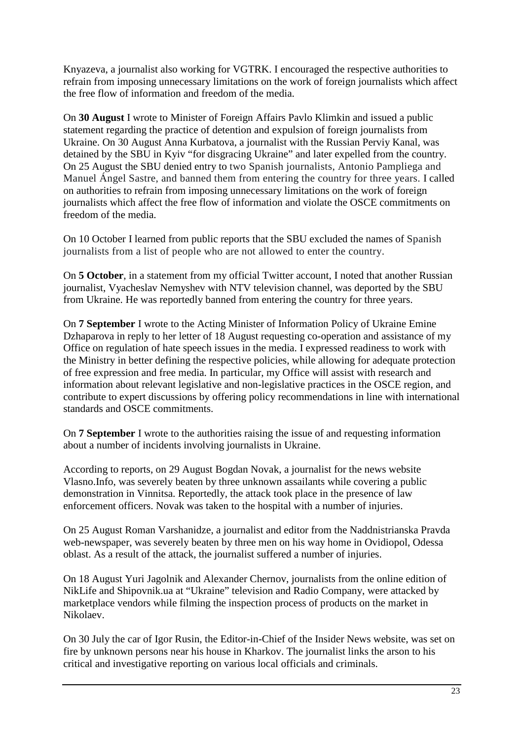Knyazeva, a journalist also working for VGTRK. I encouraged the respective authorities to refrain from imposing unnecessary limitations on the work of foreign journalists which affect the free flow of information and freedom of the media.

On **30 August** I wrote to Minister of Foreign Affairs Pavlo Klimkin and issued a public statement regarding the practice of detention and expulsion of foreign journalists from Ukraine. On 30 August Anna Kurbatova, a journalist with the Russian Perviy Kanal, was detained by the SBU in Kyiv "for disgracing Ukraine" and later expelled from the country. On 25 August the SBU denied entry to two Spanish journalists, Antonio Pampliega and Manuel Ángel Sastre, and banned them from entering the country for three years. I called on authorities to refrain from imposing unnecessary limitations on the work of foreign journalists which affect the free flow of information and violate the OSCE commitments on freedom of the media.

On 10 October I learned from public reports that the SBU excluded the names of Spanish journalists from a list of people who are not allowed to enter the country.

On **5 October**, in a statement from my official Twitter account, I noted that another Russian journalist, Vyacheslav Nemyshev with NTV television channel, was deported by the SBU from Ukraine. He was reportedly banned from entering the country for three years.

On **7 September** I wrote to the Acting Minister of Information Policy of Ukraine Emine Dzhaparova in reply to her letter of 18 August requesting co-operation and assistance of my Office on regulation of hate speech issues in the media. I expressed readiness to work with the Ministry in better defining the respective policies, while allowing for adequate protection of free expression and free media. In particular, my Office will assist with research and information about relevant legislative and non-legislative practices in the OSCE region, and contribute to expert discussions by offering policy recommendations in line with international standards and OSCE commitments.

On **7 September** I wrote to the authorities raising the issue of and requesting information about a number of incidents involving journalists in Ukraine.

According to reports, on 29 August Bogdan Novak, a journalist for the news website Vlasno.Info, was severely beaten by three unknown assailants while covering a public demonstration in Vinnitsa. Reportedly, the attack took place in the presence of law enforcement officers. Novak was taken to the hospital with a number of injuries.

On 25 August Roman Varshanidze, a journalist and editor from the Naddnistrianska Pravda web-newspaper, was severely beaten by three men on his way home in Ovidiopol, Odessa oblast. As a result of the attack, the journalist suffered a number of injuries.

On 18 August Yuri Jagolnik and Alexander Chernov, journalists from the online edition of NikLife and Shipovnik.ua at "Ukraine" television and Radio Company, were attacked by marketplace vendors while filming the inspection process of products on the market in Nikolaev.

On 30 July the car of Igor Rusin, the Editor-in-Chief of the Insider News website, was set on fire by unknown persons near his house in Kharkov. The journalist links the arson to his critical and investigative reporting on various local officials and criminals.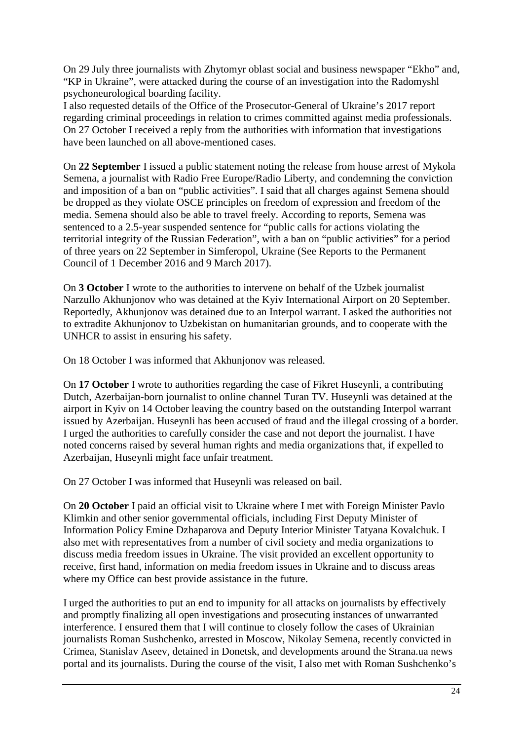On 29 July three journalists with Zhytomyr oblast social and business newspaper "Ekho" and, "KP in Ukraine", were attacked during the course of an investigation into the Radomyshl psychoneurological boarding facility.

I also requested details of the Office of the Prosecutor-General of Ukraine's 2017 report regarding criminal proceedings in relation to crimes committed against media professionals. On 27 October I received a reply from the authorities with information that investigations have been launched on all above-mentioned cases.

On **22 September** I issued a public statement noting the release from house arrest of Mykola Semena, a journalist with Radio Free Europe/Radio Liberty, and condemning the conviction and imposition of a ban on "public activities". I said that all charges against Semena should be dropped as they violate OSCE principles on freedom of expression and freedom of the media. Semena should also be able to travel freely. According to reports, Semena was sentenced to a 2.5-year suspended sentence for "public calls for actions violating the territorial integrity of the Russian Federation", with a ban on "public activities" for a period of three years on 22 September in Simferopol, Ukraine (See Reports to the Permanent Council of 1 December 2016 and 9 March 2017).

On **3 October** I wrote to the authorities to intervene on behalf of the Uzbek journalist Narzullo Akhunjonov who was detained at the Kyiv International Airport on 20 September. Reportedly, Akhunjonov was detained due to an Interpol warrant. I asked the authorities not to extradite Akhunjonov to Uzbekistan on humanitarian grounds, and to cooperate with the UNHCR to assist in ensuring his safety.

On 18 October I was informed that Akhunjonov was released.

On **17 October** I wrote to authorities regarding the case of Fikret Huseynli, a contributing Dutch, Azerbaijan-born journalist to online channel Turan TV. Huseynli was detained at the airport in Kyiv on 14 October leaving the country based on the outstanding Interpol warrant issued by Azerbaijan. Huseynli has been accused of fraud and the illegal crossing of a border. I urged the authorities to carefully consider the case and not deport the journalist. I have noted concerns raised by several human rights and media organizations that, if expelled to Azerbaijan, Huseynli might face unfair treatment.

On 27 October I was informed that Huseynli was released on bail.

On **20 October** I paid an official visit to Ukraine where I met with Foreign Minister Pavlo Klimkin and other senior governmental officials, including First Deputy Minister of Information Policy Emine Dzhaparova and Deputy Interior Minister Tatyana Kovalchuk. I also met with representatives from a number of civil society and media organizations to discuss media freedom issues in Ukraine. The visit provided an excellent opportunity to receive, first hand, information on media freedom issues in Ukraine and to discuss areas where my Office can best provide assistance in the future.

I urged the authorities to put an end to impunity for all attacks on journalists by effectively and promptly finalizing all open investigations and prosecuting instances of unwarranted interference. I ensured them that I will continue to closely follow the cases of Ukrainian journalists Roman Sushchenko, arrested in Moscow, Nikolay Semena, recently convicted in Crimea, Stanislav Aseev, detained in Donetsk, and developments around the Strana.ua news portal and its journalists. During the course of the visit, I also met with Roman Sushchenko's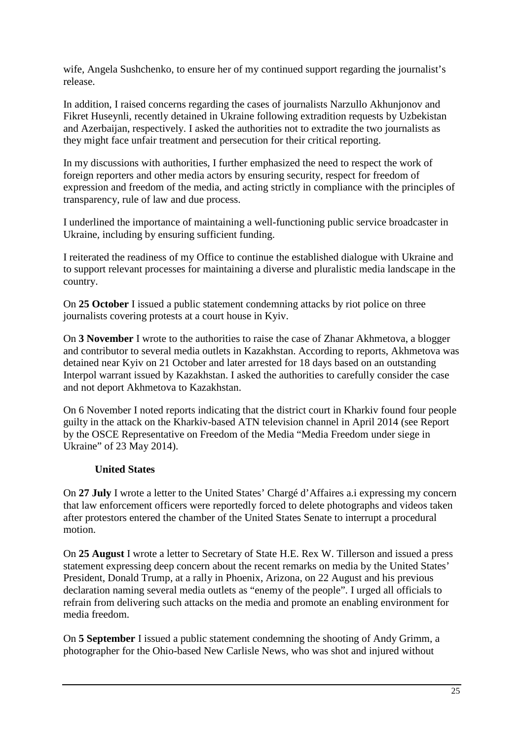wife, Angela Sushchenko, to ensure her of my continued support regarding the journalist's release.

In addition, I raised concerns regarding the cases of journalists Narzullo Akhunjonov and Fikret Huseynli, recently detained in Ukraine following extradition requests by Uzbekistan and Azerbaijan, respectively. I asked the authorities not to extradite the two journalists as they might face unfair treatment and persecution for their critical reporting.

In my discussions with authorities, I further emphasized the need to respect the work of foreign reporters and other media actors by ensuring security, respect for freedom of expression and freedom of the media, and acting strictly in compliance with the principles of transparency, rule of law and due process.

I underlined the importance of maintaining a well-functioning public service broadcaster in Ukraine, including by ensuring sufficient funding.

I reiterated the readiness of my Office to continue the established dialogue with Ukraine and to support relevant processes for maintaining a diverse and pluralistic media landscape in the country.

On **25 October** I issued a public statement condemning attacks by riot police on three journalists covering protests at a court house in Kyiv.

On **3 November** I wrote to the authorities to raise the case of Zhanar Akhmetova, a blogger and contributor to several media outlets in Kazakhstan. According to reports, Akhmetova was detained near Kyiv on 21 October and later arrested for 18 days based on an outstanding Interpol warrant issued by Kazakhstan. I asked the authorities to carefully consider the case and not deport Akhmetova to Kazakhstan.

On 6 November I noted reports indicating that the district court in Kharkiv found four people guilty in the attack on the Kharkiv-based ATN television channel in April 2014 (see Report by the OSCE Representative on Freedom of the Media "Media Freedom under siege in Ukraine" of 23 May 2014).

### **United States**

On **27 July** I wrote a letter to the United States' Chargé d'Affaires a.i expressing my concern that law enforcement officers were reportedly forced to delete photographs and videos taken after protestors entered the chamber of the United States Senate to interrupt a procedural motion.

On **25 August** I wrote a letter to Secretary of State H.E. Rex W. Tillerson and issued a press statement expressing deep concern about the recent remarks on media by the United States' President, Donald Trump, at a rally in Phoenix, Arizona, on 22 August and his previous declaration naming several media outlets as "enemy of the people". I urged all officials to refrain from delivering such attacks on the media and promote an enabling environment for media freedom.

On **5 September** I issued a public statement condemning the shooting of Andy Grimm, a photographer for the Ohio-based New Carlisle News, who was shot and injured without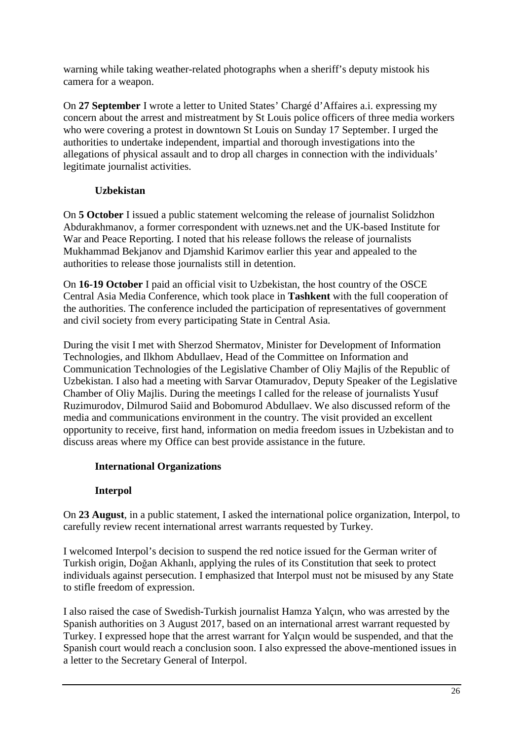warning while taking weather-related photographs when a sheriff's deputy mistook his camera for a weapon.

On **27 September** I wrote a letter to United States' Chargé d'Affaires a.i. expressing my concern about the arrest and mistreatment by St Louis police officers of three media workers who were covering a protest in downtown St Louis on Sunday 17 September. I urged the authorities to undertake independent, impartial and thorough investigations into the allegations of physical assault and to drop all charges in connection with the individuals' legitimate journalist activities.

## **Uzbekistan**

On **5 October** I issued a public statement welcoming the release of journalist Solidzhon Abdurakhmanov, a former correspondent with uznews.net and the UK-based Institute for War and Peace Reporting. I noted that his release follows the release of journalists Mukhammad Bekjanov and Djamshid Karimov earlier this year and appealed to the authorities to release those journalists still in detention.

On **16-19 October** I paid an official visit to Uzbekistan, the host country of the OSCE Central Asia Media Conference, which took place in **Tashkent** with the full cooperation of the authorities. The conference included the participation of representatives of government and civil society from every participating State in Central Asia.

During the visit I met with Sherzod Shermatov, Minister for Development of Information Technologies, and Ilkhom Abdullaev, Head of the Committee on Information and Communication Technologies of the Legislative Chamber of Oliy Majlis of the Republic of Uzbekistan. I also had a meeting with Sarvar Otamuradov, Deputy Speaker of the Legislative Chamber of Oliy Majlis. During the meetings I called for the release of journalists Yusuf Ruzimurodov, Dilmurod Saiid and Bobomurod Abdullaev. We also discussed reform of the media and communications environment in the country. The visit provided an excellent opportunity to receive, first hand, information on media freedom issues in Uzbekistan and to discuss areas where my Office can best provide assistance in the future.

## **International Organizations**

## **Interpol**

On **23 August**, in a public statement, I asked the international police organization, Interpol, to carefully review recent international arrest warrants requested by Turkey.

I welcomed Interpol's decision to suspend the red notice issued for the German writer of Turkish origin, Doğan Akhanlı, applying the rules of its Constitution that seek to protect individuals against persecution. I emphasized that Interpol must not be misused by any State to stifle freedom of expression.

I also raised the case of Swedish-Turkish journalist Hamza Yalçın, who was arrested by the Spanish authorities on 3 August 2017, based on an international arrest warrant requested by Turkey. I expressed hope that the arrest warrant for Yalçın would be suspended, and that the Spanish court would reach a conclusion soon. I also expressed the above-mentioned issues in a letter to the Secretary General of Interpol.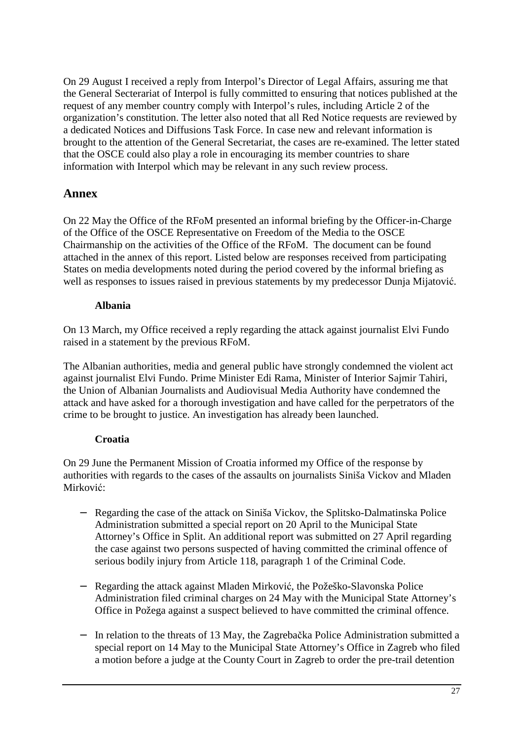On 29 August I received a reply from Interpol's Director of Legal Affairs, assuring me that the General Secterariat of Interpol is fully committed to ensuring that notices published at the request of any member country comply with Interpol's rules, including Article 2 of the organization's constitution. The letter also noted that all Red Notice requests are reviewed by a dedicated Notices and Diffusions Task Force. In case new and relevant information is brought to the attention of the General Secretariat, the cases are re-examined. The letter stated that the OSCE could also play a role in encouraging its member countries to share information with Interpol which may be relevant in any such review process.

## **Annex**

On 22 May the Office of the RFoM presented an informal briefing by the Officer-in-Charge of the Office of the OSCE Representative on Freedom of the Media to the OSCE Chairmanship on the activities of the Office of the RFoM. The document can be found attached in the annex of this report. Listed below are responses received from participating States on media developments noted during the period covered by the informal briefing as well as responses to issues raised in previous statements by my predecessor Dunja Mijatović.

## **Albania**

On 13 March, my Office received a reply regarding the attack against journalist Elvi Fundo raised in a statement by the previous RFoM.

The Albanian authorities, media and general public have strongly condemned the violent act against journalist Elvi Fundo. Prime Minister Edi Rama, Minister of Interior Sajmir Tahiri, the Union of Albanian Journalists and Audiovisual Media Authority have condemned the attack and have asked for a thorough investigation and have called for the perpetrators of the crime to be brought to justice. An investigation has already been launched.

## **Croatia**

On 29 June the Permanent Mission of Croatia informed my Office of the response by authorities with regards to the cases of the assaults on journalists Siniša Vickov and Mladen Mirković:

- − Regarding the case of the attack on Siniša Vickov, the Splitsko-Dalmatinska Police Administration submitted a special report on 20 April to the Municipal State Attorney's Office in Split. An additional report was submitted on 27 April regarding the case against two persons suspected of having committed the criminal offence of serious bodily injury from Article 118, paragraph 1 of the Criminal Code.
- − Regarding the attack against Mladen Mirković, the Požeško-Slavonska Police Administration filed criminal charges on 24 May with the Municipal State Attorney's Office in Požega against a suspect believed to have committed the criminal offence.
- − In relation to the threats of 13 May, the Zagrebačka Police Administration submitted a special report on 14 May to the Municipal State Attorney's Office in Zagreb who filed a motion before a judge at the County Court in Zagreb to order the pre-trail detention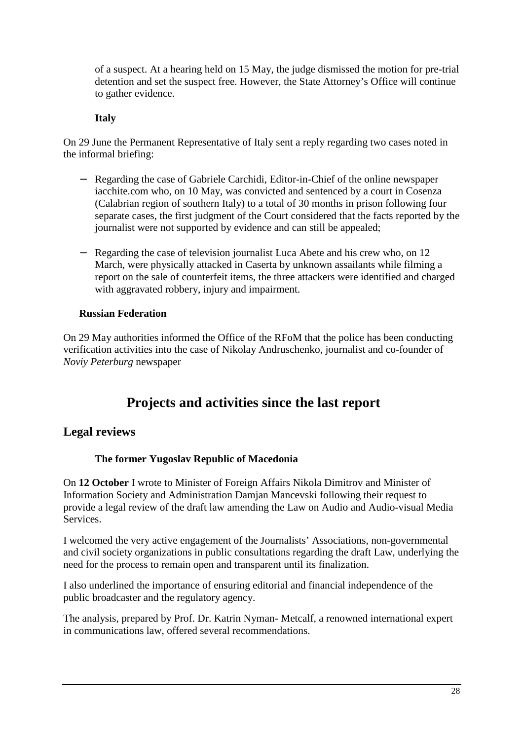of a suspect. At a hearing held on 15 May, the judge dismissed the motion for pre-trial detention and set the suspect free. However, the State Attorney's Office will continue to gather evidence.

## **Italy**

On 29 June the Permanent Representative of Italy sent a reply regarding two cases noted in the informal briefing:

- − Regarding the case of Gabriele Carchidi, Editor-in-Chief of the online newspaper iacchite.com who, on 10 May, was convicted and sentenced by a court in Cosenza (Calabrian region of southern Italy) to a total of 30 months in prison following four separate cases, the first judgment of the Court considered that the facts reported by the journalist were not supported by evidence and can still be appealed;
- − Regarding the case of television journalist Luca Abete and his crew who, on 12 March, were physically attacked in Caserta by unknown assailants while filming a report on the sale of counterfeit items, the three attackers were identified and charged with aggravated robbery, injury and impairment.

## **Russian Federation**

On 29 May authorities informed the Office of the RFoM that the police has been conducting verification activities into the case of Nikolay Andruschenko, journalist and co-founder of *Noviy Peterburg* newspaper

# **Projects and activities since the last report**

## **Legal reviews**

## **The former Yugoslav Republic of Macedonia**

On **12 October** I wrote to Minister of Foreign Affairs Nikola Dimitrov and Minister of Information Society and Administration Damjan Mancevski following their request to provide a legal review of the draft law amending the Law on Audio and Audio-visual Media Services.

I welcomed the very active engagement of the Journalists' Associations, non-governmental and civil society organizations in public consultations regarding the draft Law, underlying the need for the process to remain open and transparent until its finalization.

I also underlined the importance of ensuring editorial and financial independence of the public broadcaster and the regulatory agency.

The analysis, prepared by Prof. Dr. Katrin Nyman- Metcalf, a renowned international expert in communications law, offered several recommendations.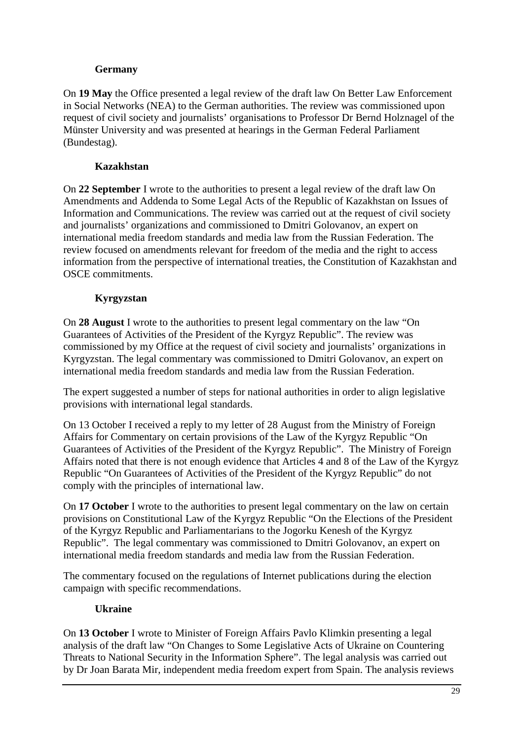## **Germany**

On **19 May** the Office presented a legal review of the draft law On Better Law Enforcement in Social Networks (NEA) to the German authorities. The review was commissioned upon request of civil society and journalists' organisations to Professor Dr Bernd Holznagel of the Münster University and was presented at hearings in the German Federal Parliament (Bundestag).

## **Kazakhstan**

On **22 September** I wrote to the authorities to present a legal review of the draft law On Amendments and Addenda to Some Legal Acts of the Republic of Kazakhstan on Issues of Information and Communications. The review was carried out at the request of civil society and journalists' organizations and commissioned to Dmitri Golovanov, an expert on international media freedom standards and media law from the Russian Federation. The review focused on amendments relevant for freedom of the media and the right to access information from the perspective of international treaties, the Constitution of Kazakhstan and OSCE commitments.

## **Kyrgyzstan**

On **28 August** I wrote to the authorities to present legal commentary on the law "On Guarantees of Activities of the President of the Kyrgyz Republic". The review was commissioned by my Office at the request of civil society and journalists' organizations in Kyrgyzstan. The legal commentary was commissioned to Dmitri Golovanov, an expert on international media freedom standards and media law from the Russian Federation.

The expert suggested a number of steps for national authorities in order to align legislative provisions with international legal standards.

On 13 October I received a reply to my letter of 28 August from the Ministry of Foreign Affairs for Commentary on certain provisions of the Law of the Kyrgyz Republic "On Guarantees of Activities of the President of the Kyrgyz Republic". The Ministry of Foreign Affairs noted that there is not enough evidence that Articles 4 and 8 of the Law of the Kyrgyz Republic "On Guarantees of Activities of the President of the Kyrgyz Republic" do not comply with the principles of international law.

On **17 October** I wrote to the authorities to present legal commentary on the law on certain provisions on Constitutional Law of the Kyrgyz Republic "On the Elections of the President of the Kyrgyz Republic and Parliamentarians to the Jogorku Kenesh of the Kyrgyz Republic". The legal commentary was commissioned to Dmitri Golovanov, an expert on international media freedom standards and media law from the Russian Federation.

The commentary focused on the regulations of Internet publications during the election campaign with specific recommendations.

## **Ukraine**

On **13 October** I wrote to Minister of Foreign Affairs Pavlo Klimkin presenting a legal analysis of the draft law "On Changes to Some Legislative Acts of Ukraine on Countering Threats to National Security in the Information Sphere". The legal analysis was carried out by Dr Joan Barata Mir, independent media freedom expert from Spain. The analysis reviews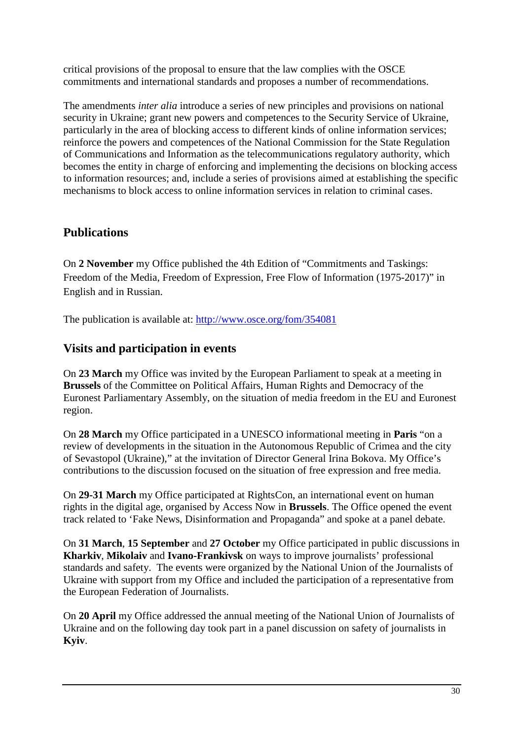critical provisions of the proposal to ensure that the law complies with the OSCE commitments and international standards and proposes a number of recommendations.

The amendments *inter alia* introduce a series of new principles and provisions on national security in Ukraine; grant new powers and competences to the Security Service of Ukraine, particularly in the area of blocking access to different kinds of online information services; reinforce the powers and competences of the National Commission for the State Regulation of Communications and Information as the telecommunications regulatory authority, which becomes the entity in charge of enforcing and implementing the decisions on blocking access to information resources; and, include a series of provisions aimed at establishing the specific mechanisms to block access to online information services in relation to criminal cases.

## **Publications**

On **2 November** my Office published the 4th Edition of "Commitments and Taskings: Freedom of the Media, Freedom of Expression, Free Flow of Information (1975-2017)" in English and in Russian.

The publication is available at: http://www.osce.org/fom/354081

## **Visits and participation in events**

On **23 March** my Office was invited by the European Parliament to speak at a meeting in **Brussels** of the Committee on Political Affairs, Human Rights and Democracy of the Euronest Parliamentary Assembly, on the situation of media freedom in the EU and Euronest region.

On **28 March** my Office participated in a UNESCO informational meeting in **Paris** "on a review of developments in the situation in the Autonomous Republic of Crimea and the city of Sevastopol (Ukraine)," at the invitation of Director General Irina Bokova. My Office's contributions to the discussion focused on the situation of free expression and free media.

On **29-31 March** my Office participated at RightsCon, an international event on human rights in the digital age, organised by Access Now in **Brussels**. The Office opened the event track related to 'Fake News, Disinformation and Propaganda" and spoke at a panel debate.

On **31 March**, **15 September** and **27 October** my Office participated in public discussions in **Kharkiv**, **Mikolaiv** and **Ivano-Frankivsk** on ways to improve journalists' professional standards and safety. The events were organized by the National Union of the Journalists of Ukraine with support from my Office and included the participation of a representative from the European Federation of Journalists.

On **20 April** my Office addressed the annual meeting of the National Union of Journalists of Ukraine and on the following day took part in a panel discussion on safety of journalists in **Kyiv**.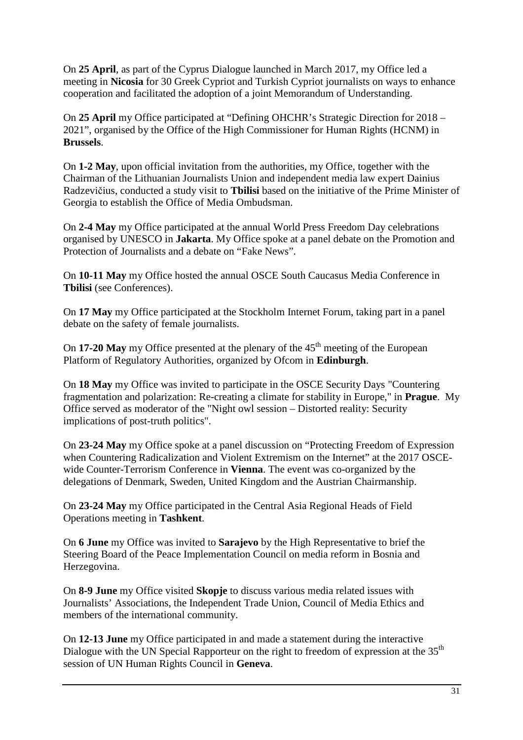On **25 April**, as part of the Cyprus Dialogue launched in March 2017, my Office led a meeting in **Nicosia** for 30 Greek Cypriot and Turkish Cypriot journalists on ways to enhance cooperation and facilitated the adoption of a joint Memorandum of Understanding.

On **25 April** my Office participated at "Defining OHCHR's Strategic Direction for 2018 – 2021", organised by the Office of the High Commissioner for Human Rights (HCNM) in **Brussels**.

On **1-2 May**, upon official invitation from the authorities, my Office, together with the Chairman of the Lithuanian Journalists Union and independent media law expert Dainius Radzevičius, conducted a study visit to **Tbilisi** based on the initiative of the Prime Minister of Georgia to establish the Office of Media Ombudsman.

On **2-4 May** my Office participated at the annual World Press Freedom Day celebrations organised by UNESCO in **Jakarta**. My Office spoke at a panel debate on the Promotion and Protection of Journalists and a debate on "Fake News".

On **10-11 May** my Office hosted the annual OSCE South Caucasus Media Conference in **Tbilisi** (see Conferences).

On **17 May** my Office participated at the Stockholm Internet Forum, taking part in a panel debate on the safety of female journalists.

On **17-20 May** my Office presented at the plenary of the 45<sup>th</sup> meeting of the European Platform of Regulatory Authorities, organized by Ofcom in **Edinburgh**.

On **18 May** my Office was invited to participate in the OSCE Security Days "Countering fragmentation and polarization: Re-creating a climate for stability in Europe," in **Prague**. My Office served as moderator of the "Night owl session – Distorted reality: Security implications of post-truth politics".

On **23-24 May** my Office spoke at a panel discussion on "Protecting Freedom of Expression when Countering Radicalization and Violent Extremism on the Internet" at the 2017 OSCEwide Counter-Terrorism Conference in **Vienna**. The event was co-organized by the delegations of Denmark, Sweden, United Kingdom and the Austrian Chairmanship.

On **23-24 May** my Office participated in the Central Asia Regional Heads of Field Operations meeting in **Tashkent**.

On **6 June** my Office was invited to **Sarajevo** by the High Representative to brief the Steering Board of the Peace Implementation Council on media reform in Bosnia and Herzegovina.

On **8-9 June** my Office visited **Skopje** to discuss various media related issues with Journalists' Associations, the Independent Trade Union, Council of Media Ethics and members of the international community.

On **12-13 June** my Office participated in and made a statement during the interactive Dialogue with the UN Special Rapporteur on the right to freedom of expression at the 35<sup>th</sup> session of UN Human Rights Council in **Geneva**.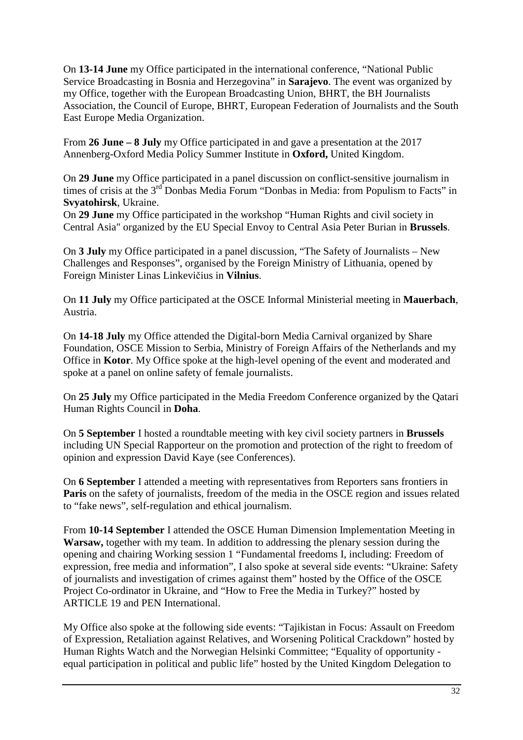On **13-14 June** my Office participated in the international conference, "National Public Service Broadcasting in Bosnia and Herzegovina" in **Sarajevo**. The event was organized by my Office, together with the European Broadcasting Union, BHRT, the BH Journalists Association, the Council of Europe, BHRT, European Federation of Journalists and the South East Europe Media Organization.

From **26 June – 8 July** my Office participated in and gave a presentation at the 2017 Annenberg-Oxford Media Policy Summer Institute in **Oxford,** United Kingdom.

On **29 June** my Office participated in a panel discussion on conflict-sensitive journalism in times of crisis at the 3<sup>rd</sup> Donbas Media Forum "Donbas in Media: from Populism to Facts" in **Svyatohirsk**, Ukraine.

On **29 June** my Office participated in the workshop "Human Rights and civil society in Central Asia" organized by the EU Special Envoy to Central Asia Peter Burian in **Brussels**.

On **3 July** my Office participated in a panel discussion, "The Safety of Journalists – New Challenges and Responses", organised by the Foreign Ministry of Lithuania, opened by Foreign Minister Linas Linkevičius in **Vilnius**.

On **11 July** my Office participated at the OSCE Informal Ministerial meeting in **Mauerbach**, Austria.

On **14-18 July** my Office attended the Digital-born Media Carnival organized by Share Foundation, OSCE Mission to Serbia, Ministry of Foreign Affairs of the Netherlands and my Office in **Kotor**. My Office spoke at the high-level opening of the event and moderated and spoke at a panel on online safety of female journalists.

On **25 July** my Office participated in the Media Freedom Conference organized by the Qatari Human Rights Council in **Doha**.

On **5 September** I hosted a roundtable meeting with key civil society partners in **Brussels**  including UN Special Rapporteur on the promotion and protection of the right to freedom of opinion and expression David Kaye (see Conferences).

On **6 September** I attended a meeting with representatives from Reporters sans frontiers in **Paris** on the safety of journalists, freedom of the media in the OSCE region and issues related to "fake news", self-regulation and ethical journalism.

From **10-14 September** I attended the OSCE Human Dimension Implementation Meeting in **Warsaw,** together with my team. In addition to addressing the plenary session during the opening and chairing Working session 1 "Fundamental freedoms I, including: Freedom of expression, free media and information", I also spoke at several side events: "Ukraine: Safety of journalists and investigation of crimes against them" hosted by the Office of the OSCE Project Co-ordinator in Ukraine, and "How to Free the Media in Turkey?" hosted by ARTICLE 19 and PEN International.

My Office also spoke at the following side events: "Tajikistan in Focus: Assault on Freedom of Expression, Retaliation against Relatives, and Worsening Political Crackdown" hosted by Human Rights Watch and the Norwegian Helsinki Committee; "Equality of opportunity equal participation in political and public life" hosted by the United Kingdom Delegation to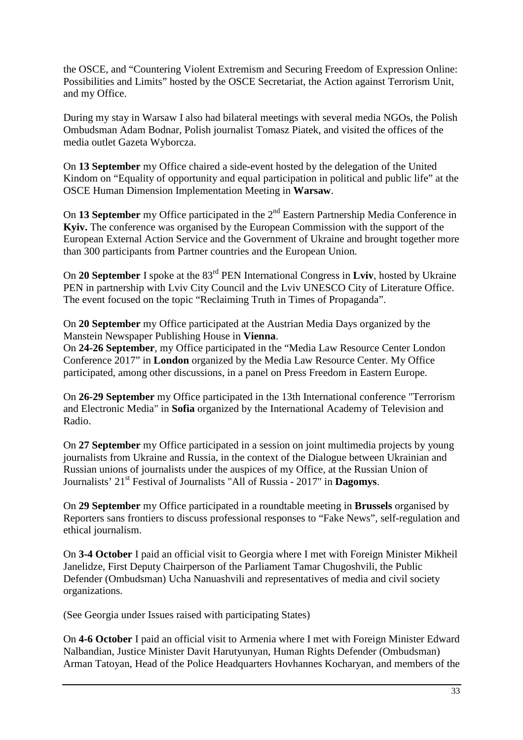the OSCE, and "Countering Violent Extremism and Securing Freedom of Expression Online: Possibilities and Limits" hosted by the OSCE Secretariat, the Action against Terrorism Unit, and my Office.

During my stay in Warsaw I also had bilateral meetings with several media NGOs, the Polish Ombudsman Adam Bodnar, Polish journalist Tomasz Piatek, and visited the offices of the media outlet Gazeta Wyborcza.

On **13 September** my Office chaired a side-event hosted by the delegation of the United Kindom on "Equality of opportunity and equal participation in political and public life" at the OSCE Human Dimension Implementation Meeting in **Warsaw**.

On **13 September** my Office participated in the 2nd Eastern Partnership Media Conference in **Kyiv.** The conference was organised by the European Commission with the support of the European External Action Service and the Government of Ukraine and brought together more than 300 participants from Partner countries and the European Union.

On **20 September** I spoke at the 83rd PEN International Congress in **Lviv**, hosted by Ukraine PEN in partnership with Lviv City Council and the Lviv UNESCO City of Literature Office. The event focused on the topic "Reclaiming Truth in Times of Propaganda".

On **20 September** my Office participated at the Austrian Media Days organized by the Manstein Newspaper Publishing House in **Vienna**.

On **24-26 September**, my Office participated in the "Media Law Resource Center London Conference 2017" in **London** organized by the Media Law Resource Center. My Office participated, among other discussions, in a panel on Press Freedom in Eastern Europe.

On **26-29 September** my Office participated in the 13th International conference "Terrorism and Electronic Media" in **Sofia** organized by the International Academy of Television and Radio.

On **27 September** my Office participated in a session on joint multimedia projects by young journalists from Ukraine and Russia, in the context of the Dialogue between Ukrainian and Russian unions of journalists under the auspices of my Office, at the Russian Union of Journalists' 21st Festival of Journalists "All of Russia - 2017" in **Dagomys**.

On **29 September** my Office participated in a roundtable meeting in **Brussels** organised by Reporters sans frontiers to discuss professional responses to "Fake News", self-regulation and ethical journalism.

On **3-4 October** I paid an official visit to Georgia where I met with Foreign Minister Mikheil Janelidze, First Deputy Chairperson of the Parliament Tamar Chugoshvili, the Public Defender (Ombudsman) Ucha Nanuashvili and representatives of media and civil society organizations.

(See Georgia under Issues raised with participating States)

On **4-6 October** I paid an official visit to Armenia where I met with Foreign Minister Edward Nalbandian, Justice Minister Davit Harutyunyan, Human Rights Defender (Ombudsman) Arman Tatoyan, Head of the Police Headquarters Hovhannes Kocharyan, and members of the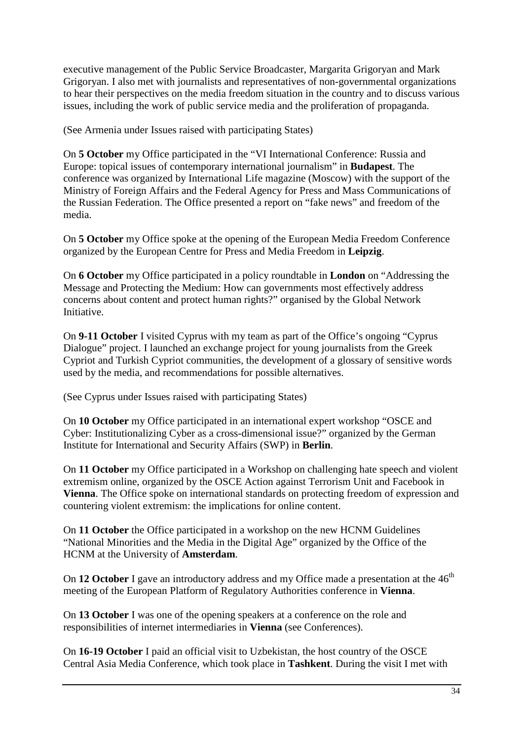executive management of the Public Service Broadcaster, Margarita Grigoryan and Mark Grigoryan. I also met with journalists and representatives of non-governmental organizations to hear their perspectives on the media freedom situation in the country and to discuss various issues, including the work of public service media and the proliferation of propaganda.

(See Armenia under Issues raised with participating States)

On **5 October** my Office participated in the "VI International Conference: Russia and Europe: topical issues of contemporary international journalism" in **Budapest**. The conference was organized by International Life magazine (Moscow) with the support of the Ministry of Foreign Affairs and the Federal Agency for Press and Mass Communications of the Russian Federation. The Office presented a report on "fake news" and freedom of the media.

On **5 October** my Office spoke at the opening of the European Media Freedom Conference organized by the European Centre for Press and Media Freedom in **Leipzig**.

On **6 October** my Office participated in a policy roundtable in **London** on "Addressing the Message and Protecting the Medium: How can governments most effectively address concerns about content and protect human rights?" organised by the Global Network Initiative.

On **9-11 October** I visited Cyprus with my team as part of the Office's ongoing "Cyprus Dialogue" project. I launched an exchange project for young journalists from the Greek Cypriot and Turkish Cypriot communities, the development of a glossary of sensitive words used by the media, and recommendations for possible alternatives.

(See Cyprus under Issues raised with participating States)

On **10 October** my Office participated in an international expert workshop "OSCE and Cyber: Institutionalizing Cyber as a cross-dimensional issue?" organized by the German Institute for International and Security Affairs (SWP) in **Berlin**.

On **11 October** my Office participated in a Workshop on challenging hate speech and violent extremism online, organized by the OSCE Action against Terrorism Unit and Facebook in **Vienna**. The Office spoke on international standards on protecting freedom of expression and countering violent extremism: the implications for online content.

On **11 October** the Office participated in a workshop on the new HCNM Guidelines "National Minorities and the Media in the Digital Age" organized by the Office of the HCNM at the University of **Amsterdam**.

On 12 October I gave an introductory address and my Office made a presentation at the 46<sup>th</sup> meeting of the European Platform of Regulatory Authorities conference in **Vienna**.

On **13 October** I was one of the opening speakers at a conference on the role and responsibilities of internet intermediaries in **Vienna** (see Conferences).

On **16-19 October** I paid an official visit to Uzbekistan, the host country of the OSCE Central Asia Media Conference, which took place in **Tashkent**. During the visit I met with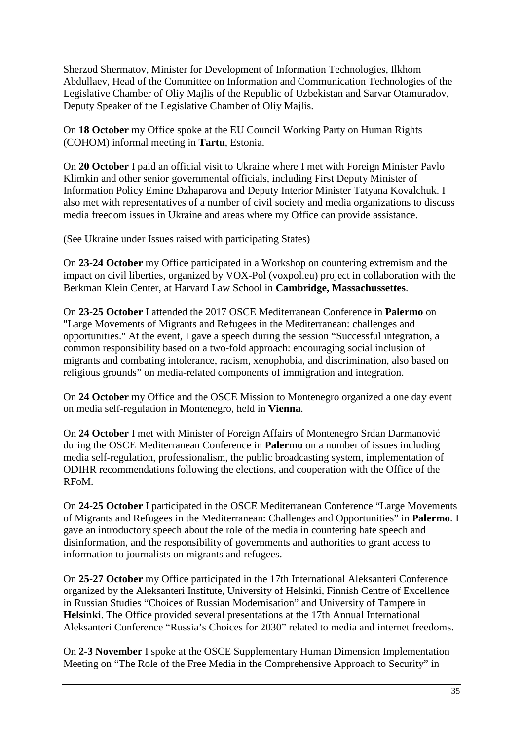Sherzod Shermatov, Minister for Development of Information Technologies, Ilkhom Abdullaev, Head of the Committee on Information and Communication Technologies of the Legislative Chamber of Oliy Majlis of the Republic of Uzbekistan and Sarvar Otamuradov, Deputy Speaker of the Legislative Chamber of Oliy Majlis.

On **18 October** my Office spoke at the EU Council Working Party on Human Rights (COHOM) informal meeting in **Tartu**, Estonia.

On **20 October** I paid an official visit to Ukraine where I met with Foreign Minister Pavlo Klimkin and other senior governmental officials, including First Deputy Minister of Information Policy Emine Dzhaparova and Deputy Interior Minister Tatyana Kovalchuk. I also met with representatives of a number of civil society and media organizations to discuss media freedom issues in Ukraine and areas where my Office can provide assistance.

(See Ukraine under Issues raised with participating States)

On **23-24 October** my Office participated in a Workshop on countering extremism and the impact on civil liberties, organized by VOX-Pol (voxpol.eu) project in collaboration with the Berkman Klein Center, at Harvard Law School in **Cambridge, Massachussettes**.

On **23-25 October** I attended the 2017 OSCE Mediterranean Conference in **Palermo** on "Large Movements of Migrants and Refugees in the Mediterranean: challenges and opportunities." At the event, I gave a speech during the session "Successful integration, a common responsibility based on a two-fold approach: encouraging social inclusion of migrants and combating intolerance, racism, xenophobia, and discrimination, also based on religious grounds" on media-related components of immigration and integration.

On **24 October** my Office and the OSCE Mission to Montenegro organized a one day event on media self-regulation in Montenegro, held in **Vienna**.

On **24 October** I met with Minister of Foreign Affairs of Montenegro Srđan Darmanović during the OSCE Mediterranean Conference in **Palermo** on a number of issues including media self-regulation, professionalism, the public broadcasting system, implementation of ODIHR recommendations following the elections, and cooperation with the Office of the RFoM.

On **24-25 October** I participated in the OSCE Mediterranean Conference "Large Movements of Migrants and Refugees in the Mediterranean: Challenges and Opportunities" in **Palermo**. I gave an introductory speech about the role of the media in countering hate speech and disinformation, and the responsibility of governments and authorities to grant access to information to journalists on migrants and refugees.

On **25-27 October** my Office participated in the 17th International Aleksanteri Conference organized by the Aleksanteri Institute, University of Helsinki, Finnish Centre of Excellence in Russian Studies "Choices of Russian Modernisation" and University of Tampere in **Helsinki**. The Office provided several presentations at the 17th Annual International Aleksanteri Conference "Russia's Choices for 2030" related to media and internet freedoms.

On **2-3 November** I spoke at the OSCE Supplementary Human Dimension Implementation Meeting on "The Role of the Free Media in the Comprehensive Approach to Security" in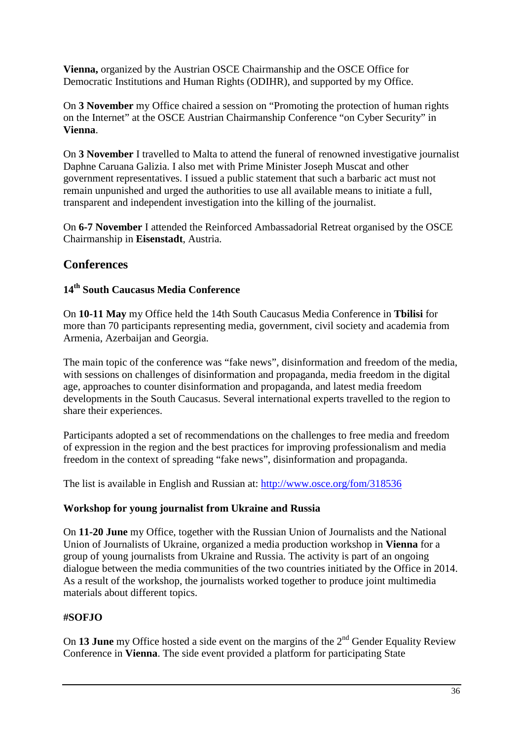**Vienna,** organized by the Austrian OSCE Chairmanship and the OSCE Office for Democratic Institutions and Human Rights (ODIHR), and supported by my Office.

On **3 November** my Office chaired a session on "Promoting the protection of human rights on the Internet" at the OSCE Austrian Chairmanship Conference "on Cyber Security" in **Vienna**.

On **3 November** I travelled to Malta to attend the funeral of renowned investigative journalist Daphne Caruana Galizia. I also met with Prime Minister Joseph Muscat and other government representatives. I issued a public statement that such a barbaric act must not remain unpunished and urged the authorities to use all available means to initiate a full, transparent and independent investigation into the killing of the journalist.

On **6-7 November** I attended the Reinforced Ambassadorial Retreat organised by the OSCE Chairmanship in **Eisenstadt**, Austria.

## **Conferences**

## **14th South Caucasus Media Conference**

On **10-11 May** my Office held the 14th South Caucasus Media Conference in **Tbilisi** for more than 70 participants representing media, government, civil society and academia from Armenia, Azerbaijan and Georgia.

The main topic of the conference was "fake news", disinformation and freedom of the media, with sessions on challenges of disinformation and propaganda, media freedom in the digital age, approaches to counter disinformation and propaganda, and latest media freedom developments in the South Caucasus. Several international experts travelled to the region to share their experiences.

Participants adopted a set of recommendations on the challenges to free media and freedom of expression in the region and the best practices for improving professionalism and media freedom in the context of spreading "fake news", disinformation and propaganda.

The list is available in English and Russian at: http://www.osce.org/fom/318536

## **Workshop for young journalist from Ukraine and Russia**

On **11-20 June** my Office, together with the Russian Union of Journalists and the National Union of Journalists of Ukraine, organized a media production workshop in **Vienna** for a group of young journalists from Ukraine and Russia. The activity is part of an ongoing dialogue between the media communities of the two countries initiated by the Office in 2014. As a result of the workshop, the journalists worked together to produce joint multimedia materials about different topics.

## **#SOFJO**

On 13 June my Office hosted a side event on the margins of the 2<sup>nd</sup> Gender Equality Review Conference in **Vienna**. The side event provided a platform for participating State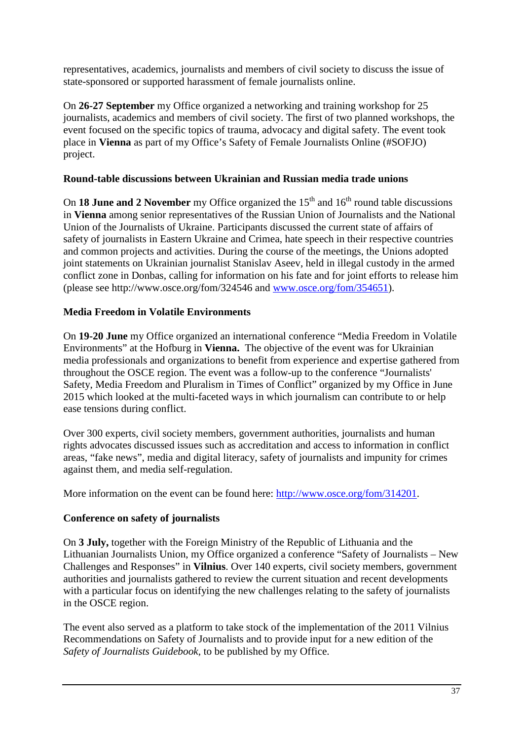representatives, academics, journalists and members of civil society to discuss the issue of state-sponsored or supported harassment of female journalists online.

On **26-27 September** my Office organized a networking and training workshop for 25 journalists, academics and members of civil society. The first of two planned workshops, the event focused on the specific topics of trauma, advocacy and digital safety. The event took place in **Vienna** as part of my Office's Safety of Female Journalists Online (#SOFJO) project.

## **Round-table discussions between Ukrainian and Russian media trade unions**

On **18 June and 2 November** my Office organized the  $15<sup>th</sup>$  and  $16<sup>th</sup>$  round table discussions in **Vienna** among senior representatives of the Russian Union of Journalists and the National Union of the Journalists of Ukraine. Participants discussed the current state of affairs of safety of journalists in Eastern Ukraine and Crimea, hate speech in their respective countries and common projects and activities. During the course of the meetings, the Unions adopted joint statements on Ukrainian journalist Stanislav Aseev, held in illegal custody in the armed conflict zone in Donbas, calling for information on his fate and for joint efforts to release him (please see http://www.osce.org/fom/324546 and www.osce.org/fom/354651).

## **Media Freedom in Volatile Environments**

On **19-20 June** my Office organized an international conference "Media Freedom in Volatile Environments" at the Hofburg in **Vienna.** The objective of the event was for Ukrainian media professionals and organizations to benefit from experience and expertise gathered from throughout the OSCE region. The event was a follow-up to the conference "Journalists' Safety, Media Freedom and Pluralism in Times of Conflict" organized by my Office in June 2015 which looked at the multi-faceted ways in which journalism can contribute to or help ease tensions during conflict.

Over 300 experts, civil society members, government authorities, journalists and human rights advocates discussed issues such as accreditation and access to information in conflict areas, "fake news", media and digital literacy, safety of journalists and impunity for crimes against them, and media self-regulation.

More information on the event can be found here: http://www.osce.org/fom/314201.

### **Conference on safety of journalists**

On **3 July,** together with the Foreign Ministry of the Republic of Lithuania and the Lithuanian Journalists Union, my Office organized a conference "Safety of Journalists – New Challenges and Responses" in **Vilnius**. Over 140 experts, civil society members, government authorities and journalists gathered to review the current situation and recent developments with a particular focus on identifying the new challenges relating to the safety of journalists in the OSCE region.

The event also served as a platform to take stock of the implementation of the 2011 Vilnius Recommendations on Safety of Journalists and to provide input for a new edition of the *Safety of Journalists Guidebook,* to be published by my Office.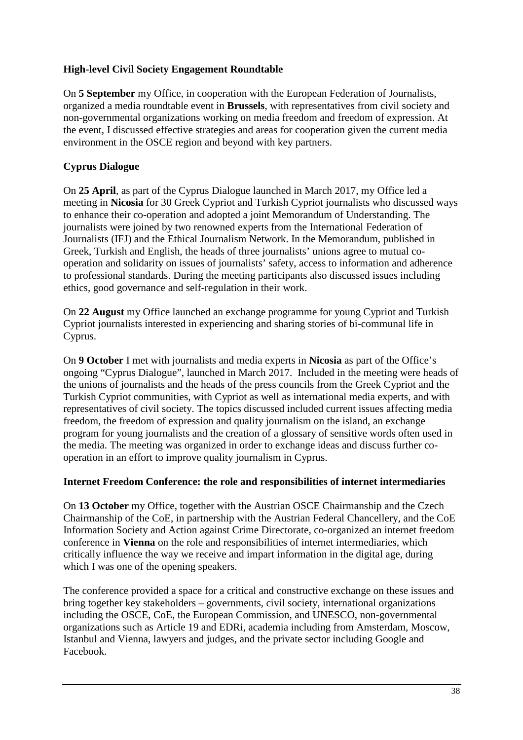## **High-level Civil Society Engagement Roundtable**

On **5 September** my Office, in cooperation with the European Federation of Journalists, organized a media roundtable event in **Brussels**, with representatives from civil society and non-governmental organizations working on media freedom and freedom of expression. At the event, I discussed effective strategies and areas for cooperation given the current media environment in the OSCE region and beyond with key partners.

## **Cyprus Dialogue**

On **25 April**, as part of the Cyprus Dialogue launched in March 2017, my Office led a meeting in **Nicosia** for 30 Greek Cypriot and Turkish Cypriot journalists who discussed ways to enhance their co-operation and adopted a joint Memorandum of Understanding. The journalists were joined by two renowned experts from the International Federation of Journalists (IFJ) and the Ethical Journalism Network. In the Memorandum, published in Greek, Turkish and English, the heads of three journalists' unions agree to mutual cooperation and solidarity on issues of journalists' safety, access to information and adherence to professional standards. During the meeting participants also discussed issues including ethics, good governance and self-regulation in their work.

On **22 August** my Office launched an exchange programme for young Cypriot and Turkish Cypriot journalists interested in experiencing and sharing stories of bi-communal life in Cyprus.

On **9 October** I met with journalists and media experts in **Nicosia** as part of the Office's ongoing "Cyprus Dialogue", launched in March 2017. Included in the meeting were heads of the unions of journalists and the heads of the press councils from the Greek Cypriot and the Turkish Cypriot communities, with Cypriot as well as international media experts, and with representatives of civil society. The topics discussed included current issues affecting media freedom, the freedom of expression and quality journalism on the island, an exchange program for young journalists and the creation of a glossary of sensitive words often used in the media. The meeting was organized in order to exchange ideas and discuss further cooperation in an effort to improve quality journalism in Cyprus.

### **Internet Freedom Conference: the role and responsibilities of internet intermediaries**

On **13 October** my Office, together with the Austrian OSCE Chairmanship and the Czech Chairmanship of the CoE, in partnership with the Austrian Federal Chancellery, and the CoE Information Society and Action against Crime Directorate, co-organized an internet freedom conference in **Vienna** on the role and responsibilities of internet intermediaries, which critically influence the way we receive and impart information in the digital age, during which I was one of the opening speakers.

The conference provided a space for a critical and constructive exchange on these issues and bring together key stakeholders – governments, civil society, international organizations including the OSCE, CoE, the European Commission, and UNESCO, non-governmental organizations such as Article 19 and EDRi, academia including from Amsterdam, Moscow, Istanbul and Vienna, lawyers and judges, and the private sector including Google and Facebook.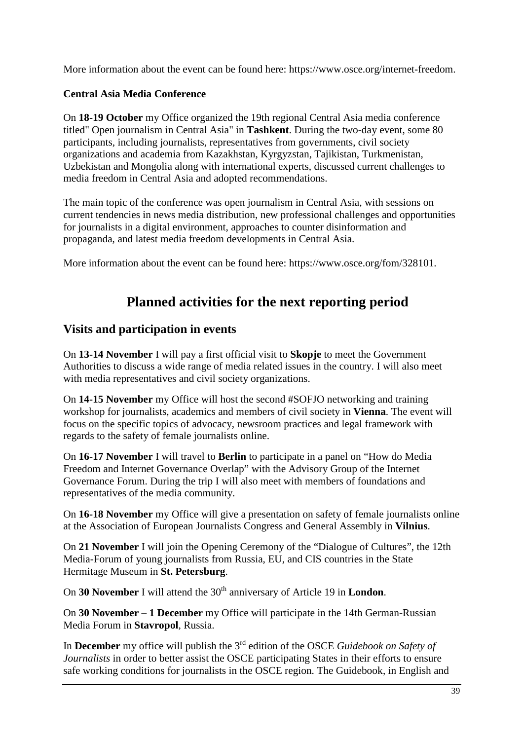More information about the event can be found here: https://www.osce.org/internet-freedom.

## **Central Asia Media Conference**

On **18-19 October** my Office organized the 19th regional Central Asia media conference titled" Open journalism in Central Asia" in **Tashkent**. During the two-day event, some 80 participants, including journalists, representatives from governments, civil society organizations and academia from Kazakhstan, Kyrgyzstan, Tajikistan, Turkmenistan, Uzbekistan and Mongolia along with international experts, discussed current challenges to media freedom in Central Asia and adopted recommendations.

The main topic of the conference was open journalism in Central Asia, with sessions on current tendencies in news media distribution, new professional challenges and opportunities for journalists in a digital environment, approaches to counter disinformation and propaganda, and latest media freedom developments in Central Asia.

More information about the event can be found here: https://www.osce.org/fom/328101.

# **Planned activities for the next reporting period**

## **Visits and participation in events**

On **13-14 November** I will pay a first official visit to **Skopje** to meet the Government Authorities to discuss a wide range of media related issues in the country. I will also meet with media representatives and civil society organizations.

On **14-15 November** my Office will host the second #SOFJO networking and training workshop for journalists, academics and members of civil society in **Vienna**. The event will focus on the specific topics of advocacy, newsroom practices and legal framework with regards to the safety of female journalists online.

On **16-17 November** I will travel to **Berlin** to participate in a panel on "How do Media Freedom and Internet Governance Overlap" with the Advisory Group of the Internet Governance Forum. During the trip I will also meet with members of foundations and representatives of the media community.

On **16-18 November** my Office will give a presentation on safety of female journalists online at the Association of European Journalists Congress and General Assembly in **Vilnius**.

On **21 November** I will join the Opening Ceremony of the "Dialogue of Cultures", the 12th Media-Forum of young journalists from Russia, EU, and CIS countries in the State Hermitage Museum in **St. Petersburg**.

On **30 November** I will attend the 30<sup>th</sup> anniversary of Article 19 in **London**.

On **30 November – 1 December** my Office will participate in the 14th German-Russian Media Forum in **Stavropol**, Russia.

In **December** my office will publish the 3<sup>rd</sup> edition of the OSCE *Guidebook on Safety of Journalists* in order to better assist the OSCE participating States in their efforts to ensure safe working conditions for journalists in the OSCE region. The Guidebook, in English and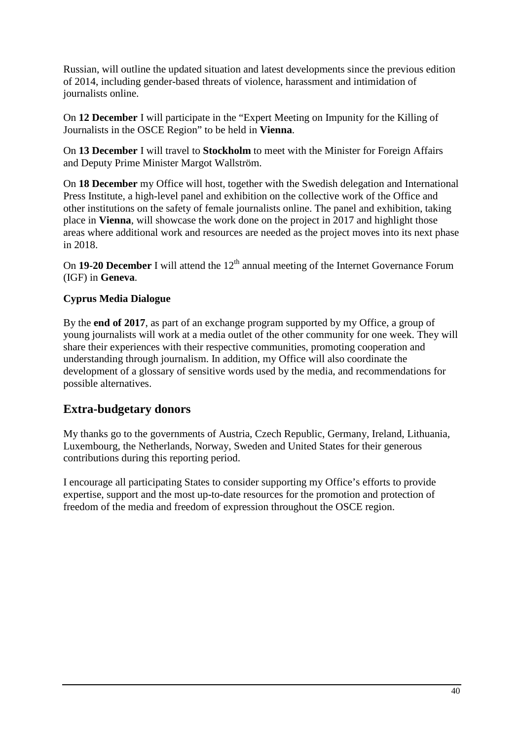Russian, will outline the updated situation and latest developments since the previous edition of 2014, including gender-based threats of violence, harassment and intimidation of journalists online.

On **12 December** I will participate in the "Expert Meeting on Impunity for the Killing of Journalists in the OSCE Region" to be held in **Vienna**.

On **13 December** I will travel to **Stockholm** to meet with the Minister for Foreign Affairs and Deputy Prime Minister Margot Wallström.

On **18 December** my Office will host, together with the Swedish delegation and International Press Institute, a high-level panel and exhibition on the collective work of the Office and other institutions on the safety of female journalists online. The panel and exhibition, taking place in **Vienna**, will showcase the work done on the project in 2017 and highlight those areas where additional work and resources are needed as the project moves into its next phase in 2018.

On 19-20 December I will attend the 12<sup>th</sup> annual meeting of the Internet Governance Forum (IGF) in **Geneva**.

## **Cyprus Media Dialogue**

By the **end of 2017**, as part of an exchange program supported by my Office, a group of young journalists will work at a media outlet of the other community for one week. They will share their experiences with their respective communities, promoting cooperation and understanding through journalism. In addition, my Office will also coordinate the development of a glossary of sensitive words used by the media, and recommendations for possible alternatives.

## **Extra-budgetary donors**

My thanks go to the governments of Austria, Czech Republic, Germany, Ireland, Lithuania, Luxembourg, the Netherlands, Norway, Sweden and United States for their generous contributions during this reporting period.

I encourage all participating States to consider supporting my Office's efforts to provide expertise, support and the most up-to-date resources for the promotion and protection of freedom of the media and freedom of expression throughout the OSCE region.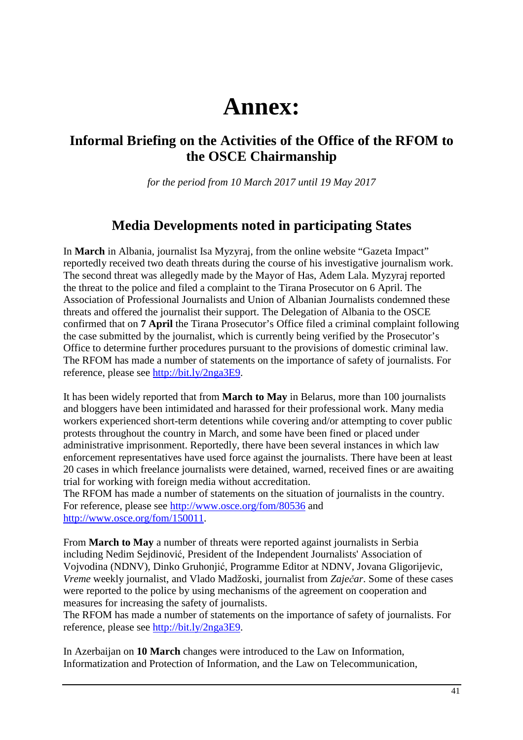# **Annex:**

# **Informal Briefing on the Activities of the Office of the RFOM to the OSCE Chairmanship**

*for the period from 10 March 2017 until 19 May 2017*

## **Media Developments noted in participating States**

In **March** in Albania, journalist Isa Myzyraj, from the online website "Gazeta Impact" reportedly received two death threats during the course of his investigative journalism work. The second threat was allegedly made by the Mayor of Has, Adem Lala. Myzyraj reported the threat to the police and filed a complaint to the Tirana Prosecutor on 6 April. The Association of Professional Journalists and Union of Albanian Journalists condemned these threats and offered the journalist their support. The Delegation of Albania to the OSCE confirmed that on **7 April** the Tirana Prosecutor's Office filed a criminal complaint following the case submitted by the journalist, which is currently being verified by the Prosecutor's Office to determine further procedures pursuant to the provisions of domestic criminal law. The RFOM has made a number of statements on the importance of safety of journalists. For reference, please see http://bit.ly/2nga3E9.

It has been widely reported that from **March to May** in Belarus, more than 100 journalists and bloggers have been intimidated and harassed for their professional work. Many media workers experienced short-term detentions while covering and/or attempting to cover public protests throughout the country in March, and some have been fined or placed under administrative imprisonment. Reportedly, there have been several instances in which law enforcement representatives have used force against the journalists. There have been at least 20 cases in which freelance journalists were detained, warned, received fines or are awaiting trial for working with foreign media without accreditation.

The RFOM has made a number of statements on the situation of journalists in the country. For reference, please see http://www.osce.org/fom/80536 and http://www.osce.org/fom/150011.

From **March to May** a number of threats were reported against journalists in Serbia including Nedim Sejdinović, President of the Independent Journalists' Association of Vojvodina (NDNV), Dinko Gruhonjić, Programme Editor at NDNV, Jovana Gligorijevic, *Vreme* weekly journalist, and Vlado Madžoski, journalist from *Zaječar*. Some of these cases were reported to the police by using mechanisms of the agreement on cooperation and measures for increasing the safety of journalists.

The RFOM has made a number of statements on the importance of safety of journalists. For reference, please see http://bit.ly/2nga3E9.

In Azerbaijan on **10 March** changes were introduced to the Law on Information, Informatization and Protection of Information, and the Law on Telecommunication,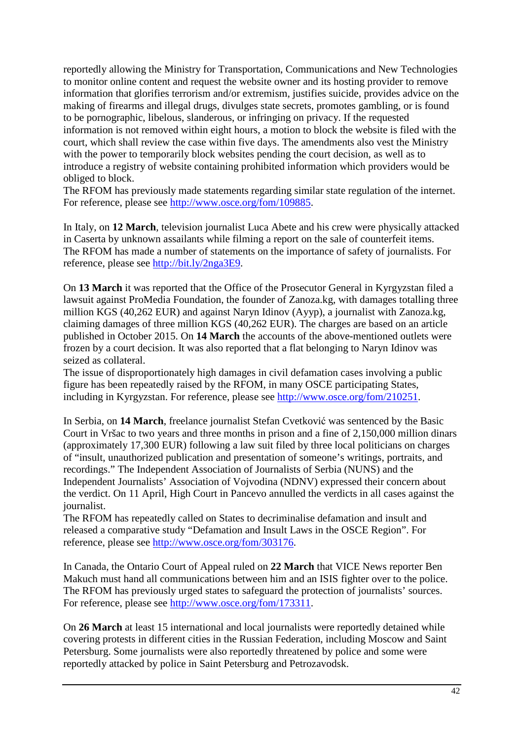reportedly allowing the Ministry for Transportation, Communications and New Technologies to monitor online content and request the website owner and its hosting provider to remove information that glorifies terrorism and/or extremism, justifies suicide, provides advice on the making of firearms and illegal drugs, divulges state secrets, promotes gambling, or is found to be pornographic, libelous, slanderous, or infringing on privacy. If the requested information is not removed within eight hours, a motion to block the website is filed with the court, which shall review the case within five days. The amendments also vest the Ministry with the power to temporarily block websites pending the court decision, as well as to introduce a registry of website containing prohibited information which providers would be obliged to block.

The RFOM has previously made statements regarding similar state regulation of the internet. For reference, please see http://www.osce.org/fom/109885.

In Italy, on **12 March**, television journalist Luca Abete and his crew were physically attacked in Caserta by unknown assailants while filming a report on the sale of counterfeit items. The RFOM has made a number of statements on the importance of safety of journalists. For reference, please see http://bit.ly/2nga3E9.

On **13 March** it was reported that the Office of the Prosecutor General in Kyrgyzstan filed a lawsuit against ProMedia Foundation, the founder of Zanoza.kg, with damages totalling three million KGS (40,262 EUR) and against Naryn Idinov (Ayyp), a journalist with Zanoza.kg, claiming damages of three million KGS (40,262 EUR). The charges are based on an article published in October 2015. On **14 March** the accounts of the above-mentioned outlets were frozen by a court decision. It was also reported that a flat belonging to Naryn Idinov was seized as collateral.

The issue of disproportionately high damages in civil defamation cases involving a public figure has been repeatedly raised by the RFOM, in many OSCE participating States, including in Kyrgyzstan. For reference, please see http://www.osce.org/fom/210251.

In Serbia, on **14 March**, freelance journalist Stefan Cvetković was sentenced by the Basic Court in Vršac to two years and three months in prison and a fine of 2,150,000 million dinars (approximately 17,300 EUR) following a law suit filed by three local politicians on charges of "insult, unauthorized publication and presentation of someone's writings, portraits, and recordings." The Independent Association of Journalists of Serbia (NUNS) and the Independent Journalists' Association of Vojvodina (NDNV) expressed their concern about the verdict. On 11 April, High Court in Pancevo annulled the verdicts in all cases against the journalist.

The RFOM has repeatedly called on States to decriminalise defamation and insult and released a comparative study "Defamation and Insult Laws in the OSCE Region". For reference, please see http://www.osce.org/fom/303176.

In Canada, the Ontario Court of Appeal ruled on **22 March** that VICE News reporter Ben Makuch must hand all communications between him and an ISIS fighter over to the police. The RFOM has previously urged states to safeguard the protection of journalists' sources. For reference, please see http://www.osce.org/fom/173311.

On **26 March** at least 15 international and local journalists were reportedly detained while covering protests in different cities in the Russian Federation, including Moscow and Saint Petersburg. Some journalists were also reportedly threatened by police and some were reportedly attacked by police in Saint Petersburg and Petrozavodsk.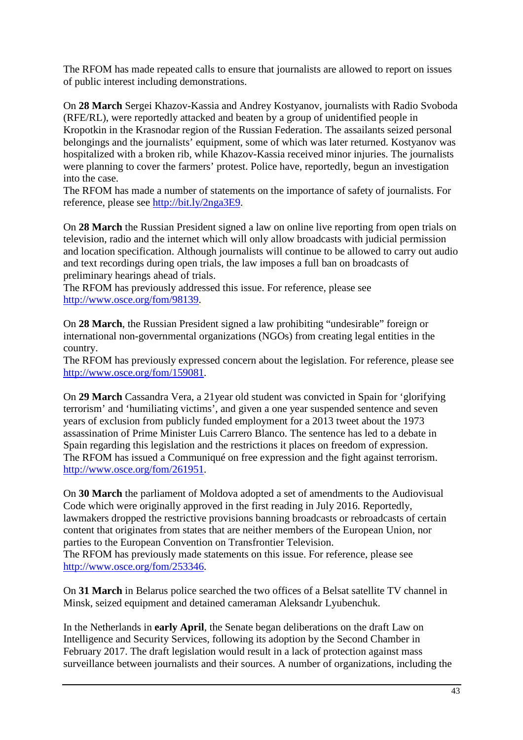The RFOM has made repeated calls to ensure that journalists are allowed to report on issues of public interest including demonstrations.

On **28 March** Sergei Khazov-Kassia and Andrey Kostyanov, journalists with Radio Svoboda (RFE/RL), were reportedly attacked and beaten by a group of unidentified people in Kropotkin in the Krasnodar region of the Russian Federation. The assailants seized personal belongings and the journalists' equipment, some of which was later returned. Kostyanov was hospitalized with a broken rib, while Khazov-Kassia received minor injuries. The journalists were planning to cover the farmers' protest. Police have, reportedly, begun an investigation into the case.

The RFOM has made a number of statements on the importance of safety of journalists. For reference, please see http://bit.ly/2nga3E9.

On **28 March** the Russian President signed a law on online live reporting from open trials on television, radio and the internet which will only allow broadcasts with judicial permission and location specification. Although journalists will continue to be allowed to carry out audio and text recordings during open trials, the law imposes a full ban on broadcasts of preliminary hearings ahead of trials.

The RFOM has previously addressed this issue. For reference, please see http://www.osce.org/fom/98139.

On **28 March**, the Russian President signed a law prohibiting "undesirable" foreign or international non-governmental organizations (NGOs) from creating legal entities in the country.

The RFOM has previously expressed concern about the legislation. For reference, please see http://www.osce.org/fom/159081.

On **29 March** Cassandra Vera, a 21year old student was convicted in Spain for 'glorifying terrorism' and 'humiliating victims', and given a one year suspended sentence and seven years of exclusion from publicly funded employment for a 2013 tweet about the 1973 assassination of Prime Minister Luis Carrero Blanco. The sentence has led to a debate in Spain regarding this legislation and the restrictions it places on freedom of expression. The RFOM has issued a Communiqué on free expression and the fight against terrorism. http://www.osce.org/fom/261951.

On **30 March** the parliament of Moldova adopted a set of amendments to the Audiovisual Code which were originally approved in the first reading in July 2016. Reportedly, lawmakers dropped the restrictive provisions banning broadcasts or rebroadcasts of certain content that originates from states that are neither members of the European Union, nor parties to the European Convention on Transfrontier Television. The RFOM has previously made statements on this issue. For reference, please see http://www.osce.org/fom/253346.

On **31 March** in Belarus police searched the two offices of a Belsat satellite TV channel in Minsk, seized equipment and detained cameraman Aleksandr Lyubenchuk.

In the Netherlands in **early April**, the Senate began deliberations on the draft Law on Intelligence and Security Services, following its adoption by the Second Chamber in February 2017. The draft legislation would result in a lack of protection against mass surveillance between journalists and their sources. A number of organizations, including the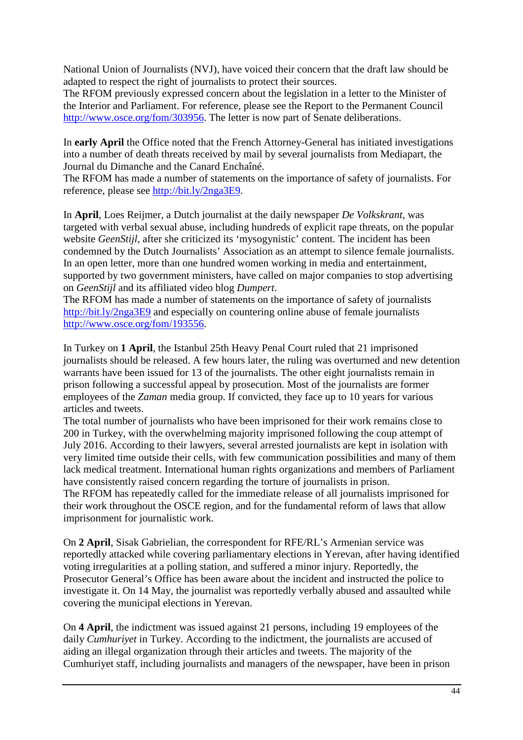National Union of Journalists (NVJ), have voiced their concern that the draft law should be adapted to respect the right of journalists to protect their sources.

The RFOM previously expressed concern about the legislation in a letter to the Minister of the Interior and Parliament. For reference, please see the Report to the Permanent Council http://www.osce.org/fom/303956. The letter is now part of Senate deliberations.

In **early April** the Office noted that the French Attorney-General has initiated investigations into a number of death threats received by mail by several journalists from Mediapart, the Journal du Dimanche and the Canard Enchaîné.

The RFOM has made a number of statements on the importance of safety of journalists. For reference, please see http://bit.ly/2nga3E9.

In **April**, Loes Reijmer, a Dutch journalist at the daily newspaper *De Volkskrant*, was targeted with verbal sexual abuse, including hundreds of explicit rape threats, on the popular website *GeenStijl*, after she criticized its 'mysogynistic' content. The incident has been condemned by the Dutch Journalists' Association as an attempt to silence female journalists. In an open letter, more than one hundred women working in media and entertainment, supported by two government ministers, have called on major companies to stop advertising on *GeenStijl* and its affiliated video blog *Dumpert*.

The RFOM has made a number of statements on the importance of safety of journalists http://bit.ly/2nga3E9 and especially on countering online abuse of female journalists http://www.osce.org/fom/193556.

In Turkey on **1 April**, the Istanbul 25th Heavy Penal Court ruled that 21 imprisoned journalists should be released. A few hours later, the ruling was overturned and new detention warrants have been issued for 13 of the journalists. The other eight journalists remain in prison following a successful appeal by prosecution. Most of the journalists are former employees of the *Zaman* media group. If convicted, they face up to 10 years for various articles and tweets.

The total number of journalists who have been imprisoned for their work remains close to 200 in Turkey, with the overwhelming majority imprisoned following the coup attempt of July 2016. According to their lawyers, several arrested journalists are kept in isolation with very limited time outside their cells, with few communication possibilities and many of them lack medical treatment. International human rights organizations and members of Parliament have consistently raised concern regarding the torture of journalists in prison.

The RFOM has repeatedly called for the immediate release of all journalists imprisoned for their work throughout the OSCE region, and for the fundamental reform of laws that allow imprisonment for journalistic work.

On **2 April**, Sisak Gabrielian, the correspondent for RFE/RL's Armenian service was reportedly attacked while covering parliamentary elections in Yerevan, after having identified voting irregularities at a polling station, and suffered a minor injury. Reportedly, the Prosecutor General's Office has been aware about the incident and instructed the police to investigate it. On 14 May, the journalist was reportedly verbally abused and assaulted while covering the municipal elections in Yerevan.

On **4 April**, the indictment was issued against 21 persons, including 19 employees of the daily *Cumhuriyet* in Turkey. According to the indictment, the journalists are accused of aiding an illegal organization through their articles and tweets. The majority of the Cumhuriyet staff, including journalists and managers of the newspaper, have been in prison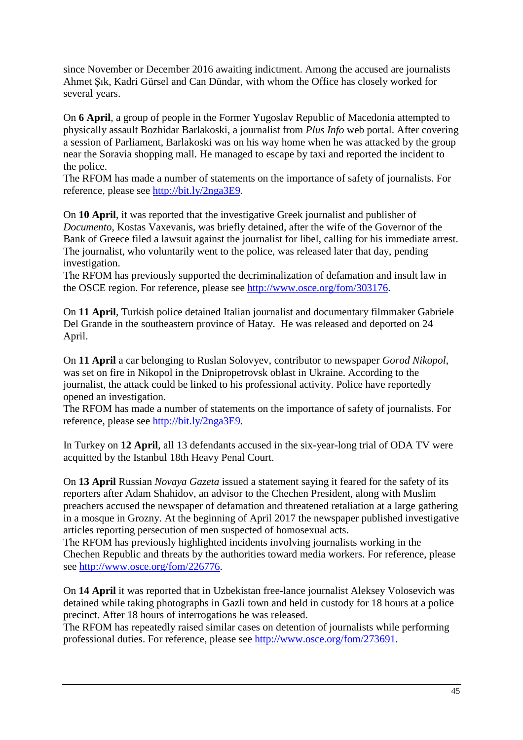since November or December 2016 awaiting indictment. Among the accused are journalists Ahmet Şık, Kadri Gürsel and Can Dündar, with whom the Office has closely worked for several years.

On **6 April**, a group of people in the Former Yugoslav Republic of Macedonia attempted to physically assault Bozhidar Barlakoski, a journalist from *Plus Info* web portal. After covering a session of Parliament, Barlakoski was on his way home when he was attacked by the group near the Soravia shopping mall. He managed to escape by taxi and reported the incident to the police.

The RFOM has made a number of statements on the importance of safety of journalists. For reference, please see http://bit.ly/2nga3E9.

On **10 April**, it was reported that the investigative Greek journalist and publisher of *Documento*, Kostas Vaxevanis, was briefly detained, after the wife of the Governor of the Bank of Greece filed a lawsuit against the journalist for libel, calling for his immediate arrest. The journalist, who voluntarily went to the police, was released later that day, pending investigation.

The RFOM has previously supported the decriminalization of defamation and insult law in the OSCE region. For reference, please see http://www.osce.org/fom/303176.

On **11 April**, Turkish police detained Italian journalist and documentary filmmaker Gabriele Del Grande in the southeastern province of Hatay. He was released and deported on 24 April.

On **11 April** a car belonging to Ruslan Solovyev, contributor to newspaper *Gorod Nikopol*, was set on fire in Nikopol in the Dnipropetrovsk oblast in Ukraine. According to the journalist, the attack could be linked to his professional activity. Police have reportedly opened an investigation.

The RFOM has made a number of statements on the importance of safety of journalists. For reference, please see http://bit.ly/2nga3E9.

In Turkey on **12 April**, all 13 defendants accused in the six-year-long trial of ODA TV were acquitted by the Istanbul 18th Heavy Penal Court.

On **13 April** Russian *Novaya Gazeta* issued a statement saying it feared for the safety of its reporters after Adam Shahidov, an advisor to the Chechen President, along with Muslim preachers accused the newspaper of defamation and threatened retaliation at a large gathering in a mosque in Grozny. At the beginning of April 2017 the newspaper published investigative articles reporting persecution of men suspected of homosexual acts.

The RFOM has previously highlighted incidents involving journalists working in the Chechen Republic and threats by the authorities toward media workers. For reference, please see http://www.osce.org/fom/226776.

On **14 April** it was reported that in Uzbekistan free-lance journalist Aleksey Volosevich was detained while taking photographs in Gazli town and held in custody for 18 hours at a police precinct. After 18 hours of interrogations he was released.

The RFOM has repeatedly raised similar cases on detention of journalists while performing professional duties. For reference, please see http://www.osce.org/fom/273691.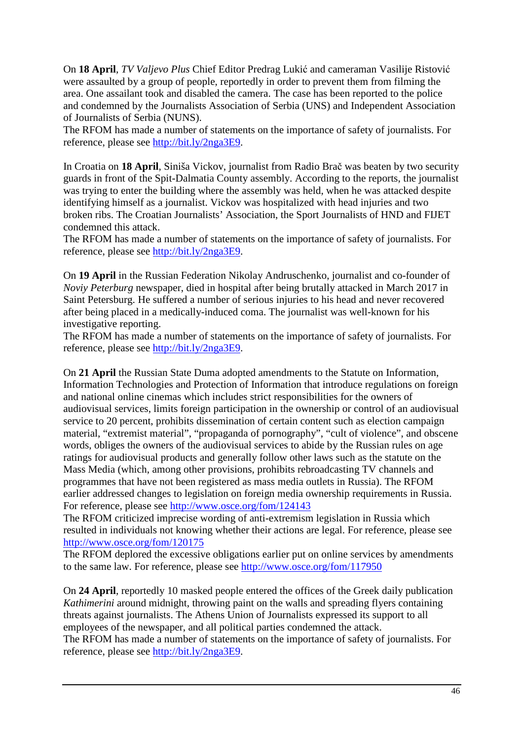On **18 April**, *TV Valjevo Plus* Chief Editor Predrag Lukić and cameraman Vasilije Ristović were assaulted by a group of people, reportedly in order to prevent them from filming the area. One assailant took and disabled the camera. The case has been reported to the police and condemned by the Journalists Association of Serbia (UNS) and Independent Association of Journalists of Serbia (NUNS).

The RFOM has made a number of statements on the importance of safety of journalists. For reference, please see http://bit.ly/2nga3E9.

In Croatia on **18 April**, Siniša Vickov, journalist from Radio Brač was beaten by two security guards in front of the Spit-Dalmatia County assembly. According to the reports, the journalist was trying to enter the building where the assembly was held, when he was attacked despite identifying himself as a journalist. Vickov was hospitalized with head injuries and two broken ribs. The Croatian Journalists' Association, the Sport Journalists of HND and FIJET condemned this attack.

The RFOM has made a number of statements on the importance of safety of journalists. For reference, please see http://bit.ly/2nga3E9.

On **19 April** in the Russian Federation Nikolay Andruschenko, journalist and co-founder of *Noviy Peterburg* newspaper, died in hospital after being brutally attacked in March 2017 in Saint Petersburg. He suffered a number of serious injuries to his head and never recovered after being placed in a medically-induced coma. The journalist was well-known for his investigative reporting.

The RFOM has made a number of statements on the importance of safety of journalists. For reference, please see http://bit.ly/2nga3E9.

On **21 April** the Russian State Duma adopted amendments to the Statute on Information, Information Technologies and Protection of Information that introduce regulations on foreign and national online cinemas which includes strict responsibilities for the owners of audiovisual services, limits foreign participation in the ownership or control of an audiovisual service to 20 percent, prohibits dissemination of certain content such as election campaign material, "extremist material", "propaganda of pornography", "cult of violence", and obscene words, obliges the owners of the audiovisual services to abide by the Russian rules on age ratings for audiovisual products and generally follow other laws such as the statute on the Mass Media (which, among other provisions, prohibits rebroadcasting TV channels and programmes that have not been registered as mass media outlets in Russia). The RFOM earlier addressed changes to legislation on foreign media ownership requirements in Russia. For reference, please see http://www.osce.org/fom/124143

The RFOM criticized imprecise wording of anti-extremism legislation in Russia which resulted in individuals not knowing whether their actions are legal. For reference, please see http://www.osce.org/fom/120175

The RFOM deplored the excessive obligations earlier put on online services by amendments to the same law. For reference, please see http://www.osce.org/fom/117950

On **24 April**, reportedly 10 masked people entered the offices of the Greek daily publication *Kathimerini* around midnight, throwing paint on the walls and spreading flyers containing threats against journalists. The Athens Union of Journalists expressed its support to all employees of the newspaper, and all political parties condemned the attack.

The RFOM has made a number of statements on the importance of safety of journalists. For reference, please see http://bit.ly/2nga3E9.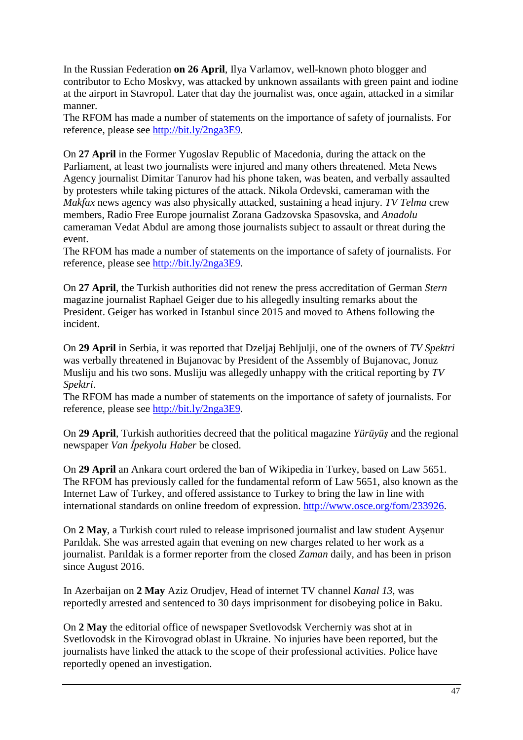In the Russian Federation **on 26 April**, Ilya Varlamov, well-known photo blogger and contributor to Echo Moskvy, was attacked by unknown assailants with green paint and iodine at the airport in Stavropol. Later that day the journalist was, once again, attacked in a similar manner.

The RFOM has made a number of statements on the importance of safety of journalists. For reference, please see http://bit.ly/2nga3E9.

On **27 April** in the Former Yugoslav Republic of Macedonia, during the attack on the Parliament, at least two journalists were injured and many others threatened. Meta News Agency journalist Dimitar Tanurov had his phone taken, was beaten, and verbally assaulted by protesters while taking pictures of the attack. Nikola Ordevski, cameraman with the *Makfax* news agency was also physically attacked, sustaining a head injury. *TV Telma* crew members, Radio Free Europe journalist Zorana Gadzovska Spasovska, and *Anadolu* cameraman Vedat Abdul are among those journalists subject to assault or threat during the event.

The RFOM has made a number of statements on the importance of safety of journalists. For reference, please see http://bit.ly/2nga3E9.

On **27 April**, the Turkish authorities did not renew the press accreditation of German *Stern* magazine journalist Raphael Geiger due to his allegedly insulting remarks about the President. Geiger has worked in Istanbul since 2015 and moved to Athens following the incident.

On **29 April** in Serbia, it was reported that Dzeljaj Behljulji, one of the owners of *TV Spektri* was verbally threatened in Bujanovac by President of the Assembly of Bujanovac, Jonuz Musliju and his two sons. Musliju was allegedly unhappy with the critical reporting by *TV Spektri*.

The RFOM has made a number of statements on the importance of safety of journalists. For reference, please see http://bit.ly/2nga3E9.

On **29 April**, Turkish authorities decreed that the political magazine *Yürüyüş* and the regional newspaper *Van İpekyolu Haber* be closed.

On **29 April** an Ankara court ordered the ban of Wikipedia in Turkey, based on Law 5651. The RFOM has previously called for the fundamental reform of Law 5651, also known as the Internet Law of Turkey, and offered assistance to Turkey to bring the law in line with international standards on online freedom of expression. http://www.osce.org/fom/233926.

On **2 May**, a Turkish court ruled to release imprisoned journalist and law student Ayşenur Parıldak. She was arrested again that evening on new charges related to her work as a journalist. Parıldak is a former reporter from the closed *Zaman* daily, and has been in prison since August 2016.

In Azerbaijan on **2 May** Aziz Orudjev, Head of internet TV channel *Kanal 13*, was reportedly arrested and sentenced to 30 days imprisonment for disobeying police in Baku.

On **2 May** the editorial office of newspaper Svetlovodsk Vercherniy was shot at in Svetlovodsk in the Kirovograd oblast in Ukraine. No injuries have been reported, but the journalists have linked the attack to the scope of their professional activities. Police have reportedly opened an investigation.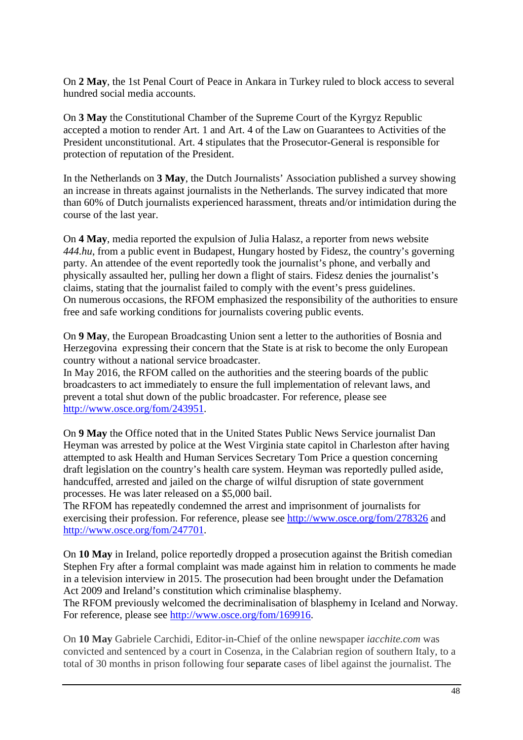On **2 May**, the 1st Penal Court of Peace in Ankara in Turkey ruled to block access to several hundred social media accounts.

On **3 May** the Constitutional Chamber of the Supreme Court of the Kyrgyz Republic accepted a motion to render Art. 1 and Art. 4 of the Law on Guarantees to Activities of the President unconstitutional. Art. 4 stipulates that the Prosecutor-General is responsible for protection of reputation of the President.

In the Netherlands on **3 May**, the Dutch Journalists' Association published a survey showing an increase in threats against journalists in the Netherlands. The survey indicated that more than 60% of Dutch journalists experienced harassment, threats and/or intimidation during the course of the last year.

On **4 May**, media reported the expulsion of Julia Halasz, a reporter from news website *444.hu*, from a public event in Budapest, Hungary hosted by Fidesz, the country's governing party. An attendee of the event reportedly took the journalist's phone, and verbally and physically assaulted her, pulling her down a flight of stairs. Fidesz denies the journalist's claims, stating that the journalist failed to comply with the event's press guidelines. On numerous occasions, the RFOM emphasized the responsibility of the authorities to ensure free and safe working conditions for journalists covering public events.

On **9 May**, the European Broadcasting Union sent a letter to the authorities of Bosnia and Herzegovina expressing their concern that the State is at risk to become the only European country without a national service broadcaster.

In May 2016, the RFOM called on the authorities and the steering boards of the public broadcasters to act immediately to ensure the full implementation of relevant laws, and prevent a total shut down of the public broadcaster. For reference, please see http://www.osce.org/fom/243951.

On **9 May** the Office noted that in the United States Public News Service journalist Dan Heyman was arrested by police at the West Virginia state capitol in Charleston after having attempted to ask Health and Human Services Secretary Tom Price a question concerning draft legislation on the country's health care system. Heyman was reportedly pulled aside, handcuffed, arrested and jailed on the charge of wilful disruption of state government processes. He was later released on a \$5,000 bail.

The RFOM has repeatedly condemned the arrest and imprisonment of journalists for exercising their profession. For reference, please see http://www.osce.org/fom/278326 and http://www.osce.org/fom/247701.

On **10 May** in Ireland, police reportedly dropped a prosecution against the British comedian Stephen Fry after a formal complaint was made against him in relation to comments he made in a television interview in 2015. The prosecution had been brought under the Defamation Act 2009 and Ireland's constitution which criminalise blasphemy.

The RFOM previously welcomed the decriminalisation of blasphemy in Iceland and Norway. For reference, please see http://www.osce.org/fom/169916.

On **10 May** Gabriele Carchidi, Editor-in-Chief of the online newspaper *iacchite.com* was convicted and sentenced by a court in Cosenza, in the Calabrian region of southern Italy, to a total of 30 months in prison following four separate cases of libel against the journalist. The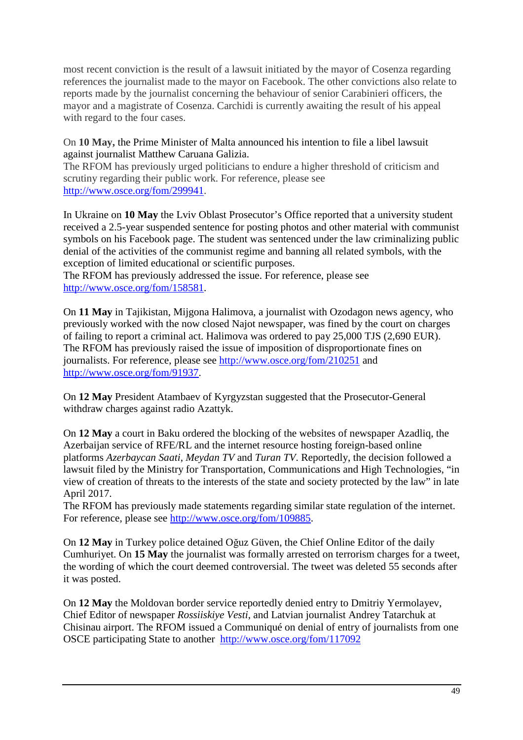most recent conviction is the result of a lawsuit initiated by the mayor of Cosenza regarding references the journalist made to the mayor on Facebook. The other convictions also relate to reports made by the journalist concerning the behaviour of senior Carabinieri officers, the mayor and a magistrate of Cosenza. Carchidi is currently awaiting the result of his appeal with regard to the four cases.

#### On **10 May,** the Prime Minister of Malta announced his intention to file a libel lawsuit against journalist Matthew Caruana Galizia.

The RFOM has previously urged politicians to endure a higher threshold of criticism and scrutiny regarding their public work. For reference, please see http://www.osce.org/fom/299941.

In Ukraine on **10 May** the Lviv Oblast Prosecutor's Office reported that a university student received a 2.5-year suspended sentence for posting photos and other material with communist symbols on his Facebook page. The student was sentenced under the law criminalizing public denial of the activities of the communist regime and banning all related symbols, with the exception of limited educational or scientific purposes.

The RFOM has previously addressed the issue. For reference, please see http://www.osce.org/fom/158581.

On **11 May** in Tajikistan, Mijgona Halimova, a journalist with Ozodagon news agency, who previously worked with the now closed Najot newspaper, was fined by the court on charges of failing to report a criminal act. Halimova was ordered to pay 25,000 TJS (2,690 EUR). The RFOM has previously raised the issue of imposition of disproportionate fines on journalists. For reference, please see http://www.osce.org/fom/210251 and http://www.osce.org/fom/91937.

On **12 May** President Atambaev of Kyrgyzstan suggested that the Prosecutor-General withdraw charges against radio Azattyk.

On **12 May** a court in Baku ordered the blocking of the websites of newspaper Azadliq, the Azerbaijan service of RFE/RL and the internet resource hosting foreign-based online platforms *Azerbaycan Saati*, *Meydan TV* and *Turan TV*. Reportedly, the decision followed a lawsuit filed by the Ministry for Transportation, Communications and High Technologies, "in view of creation of threats to the interests of the state and society protected by the law" in late April 2017.

The RFOM has previously made statements regarding similar state regulation of the internet. For reference, please see http://www.osce.org/fom/109885.

On **12 May** in Turkey police detained Oğuz Güven, the Chief Online Editor of the daily Cumhuriyet. On **15 May** the journalist was formally arrested on terrorism charges for a tweet, the wording of which the court deemed controversial. The tweet was deleted 55 seconds after it was posted.

On **12 May** the Moldovan border service reportedly denied entry to Dmitriy Yermolayev, Chief Editor of newspaper *Rossiiskiye Vesti*, and Latvian journalist Andrey Tatarchuk at Chisinau airport. The RFOM issued a Communiqué on denial of entry of journalists from one OSCE participating State to another http://www.osce.org/fom/117092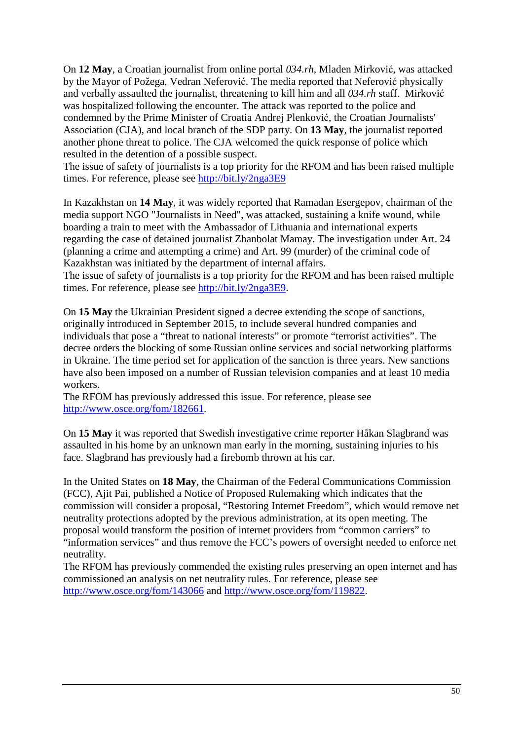On **12 May**, a Croatian journalist from online portal *034.rh*, Mladen Mirković, was attacked by the Mayor of Požega, Vedran Neferović. The media reported that Neferović physically and verbally assaulted the journalist, threatening to kill him and all *034.rh* staff. Mirković was hospitalized following the encounter. The attack was reported to the police and condemned by the Prime Minister of Croatia Andrej Plenković, the Croatian Journalists' Association (CJA), and local branch of the SDP party. On **13 May**, the journalist reported another phone threat to police. The CJA welcomed the quick response of police which resulted in the detention of a possible suspect.

The issue of safety of journalists is a top priority for the RFOM and has been raised multiple times. For reference, please see http://bit.ly/2nga3E9

In Kazakhstan on **14 May**, it was widely reported that Ramadan Esergepov, chairman of the media support NGO "Journalists in Need", was attacked, sustaining a knife wound, while boarding a train to meet with the Ambassador of Lithuania and international experts regarding the case of detained journalist Zhanbolat Mamay. The investigation under Art. 24 (planning a crime and attempting a crime) and Art. 99 (murder) of the criminal code of Kazakhstan was initiated by the department of internal affairs.

The issue of safety of journalists is a top priority for the RFOM and has been raised multiple times. For reference, please see http://bit.ly/2nga3E9.

On **15 May** the Ukrainian President signed a decree extending the scope of sanctions, originally introduced in September 2015, to include several hundred companies and individuals that pose a "threat to national interests" or promote "terrorist activities". The decree orders the blocking of some Russian online services and social networking platforms in Ukraine. The time period set for application of the sanction is three years. New sanctions have also been imposed on a number of Russian television companies and at least 10 media workers.

The RFOM has previously addressed this issue. For reference, please see http://www.osce.org/fom/182661.

On **15 May** it was reported that Swedish investigative crime reporter Håkan Slagbrand was assaulted in his home by an unknown man early in the morning, sustaining injuries to his face. Slagbrand has previously had a firebomb thrown at his car.

In the United States on **18 May**, the Chairman of the Federal Communications Commission (FCC), Ajit Pai, published a Notice of Proposed Rulemaking which indicates that the commission will consider a proposal, "Restoring Internet Freedom", which would remove net neutrality protections adopted by the previous administration, at its open meeting. The proposal would transform the position of internet providers from "common carriers" to "information services" and thus remove the FCC's powers of oversight needed to enforce net neutrality.

The RFOM has previously commended the existing rules preserving an open internet and has commissioned an analysis on net neutrality rules. For reference, please see http://www.osce.org/fom/143066 and http://www.osce.org/fom/119822.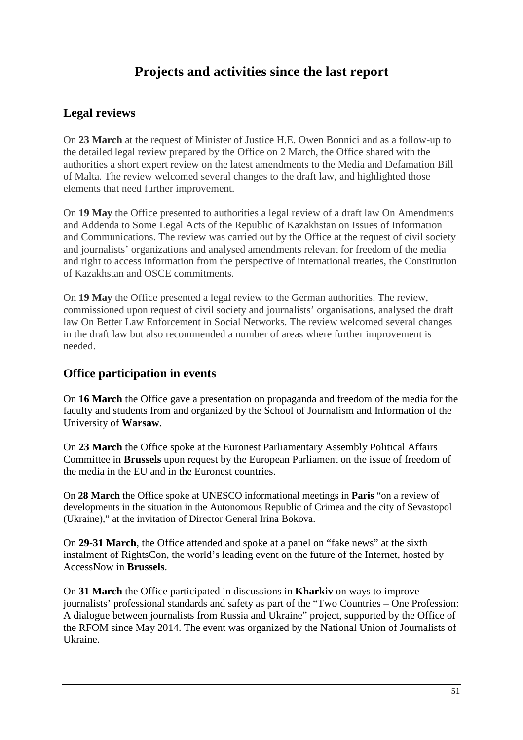# **Projects and activities since the last report**

## **Legal reviews**

On **23 March** at the request of Minister of Justice H.E. Owen Bonnici and as a follow-up to the detailed legal review prepared by the Office on 2 March, the Office shared with the authorities a short expert review on the latest amendments to the Media and Defamation Bill of Malta. The review welcomed several changes to the draft law, and highlighted those elements that need further improvement.

On **19 May** the Office presented to authorities a legal review of a draft law On Amendments and Addenda to Some Legal Acts of the Republic of Kazakhstan on Issues of Information and Communications. The review was carried out by the Office at the request of civil society and journalists' organizations and analysed amendments relevant for freedom of the media and right to access information from the perspective of international treaties, the Constitution of Kazakhstan and OSCE commitments.

On **19 May** the Office presented a legal review to the German authorities. The review, commissioned upon request of civil society and journalists' organisations, analysed the draft law On Better Law Enforcement in Social Networks. The review welcomed several changes in the draft law but also recommended a number of areas where further improvement is needed.

## **Office participation in events**

On **16 March** the Office gave a presentation on propaganda and freedom of the media for the faculty and students from and organized by the School of Journalism and Information of the University of **Warsaw**.

On **23 March** the Office spoke at the Euronest Parliamentary Assembly Political Affairs Committee in **Brussels** upon request by the European Parliament on the issue of freedom of the media in the EU and in the Euronest countries.

On **28 March** the Office spoke at UNESCO informational meetings in **Paris** "on a review of developments in the situation in the Autonomous Republic of Crimea and the city of Sevastopol (Ukraine)," at the invitation of Director General Irina Bokova.

On **29-31 March**, the Office attended and spoke at a panel on "fake news" at the sixth instalment of RightsCon, the world's leading event on the future of the Internet, hosted by AccessNow in **Brussels**.

On **31 March** the Office participated in discussions in **Kharkiv** on ways to improve journalists' professional standards and safety as part of the "Two Countries – One Profession: A dialogue between journalists from Russia and Ukraine" project, supported by the Office of the RFOM since May 2014. The event was organized by the National Union of Journalists of Ukraine.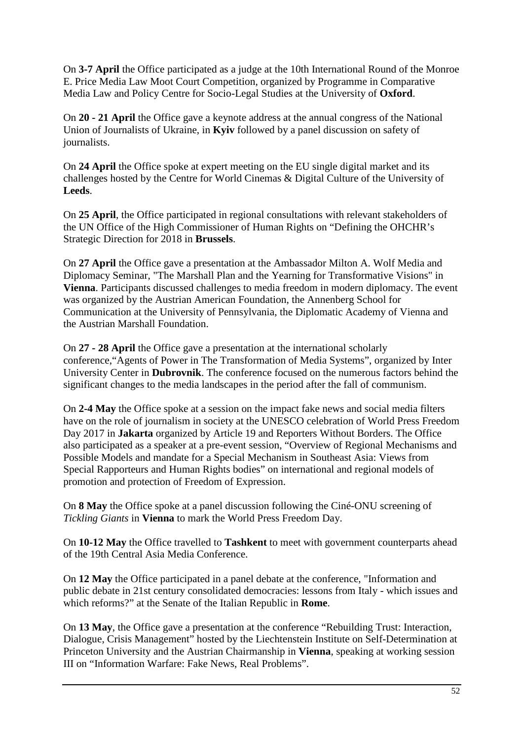On **3-7 April** the Office participated as a judge at the 10th International Round of the Monroe E. Price Media Law Moot Court Competition, organized by Programme in Comparative Media Law and Policy Centre for Socio-Legal Studies at the University of **Oxford**.

On **20 - 21 April** the Office gave a keynote address at the annual congress of the National Union of Journalists of Ukraine, in **Kyiv** followed by a panel discussion on safety of journalists.

On **24 April** the Office spoke at expert meeting on the EU single digital market and its challenges hosted by the Centre for World Cinemas & Digital Culture of the University of **Leeds**.

On **25 April**, the Office participated in regional consultations with relevant stakeholders of the UN Office of the High Commissioner of Human Rights on "Defining the OHCHR's Strategic Direction for 2018 in **Brussels**.

On **27 April** the Office gave a presentation at the Ambassador Milton A. Wolf Media and Diplomacy Seminar, "The Marshall Plan and the Yearning for Transformative Visions" in **Vienna**. Participants discussed challenges to media freedom in modern diplomacy. The event was organized by the Austrian American Foundation, the Annenberg School for Communication at the University of Pennsylvania, the Diplomatic Academy of Vienna and the Austrian Marshall Foundation.

On **27 - 28 April** the Office gave a presentation at the international scholarly conference,"Agents of Power in The Transformation of Media Systems", organized by Inter University Center in **Dubrovnik**. The conference focused on the numerous factors behind the significant changes to the media landscapes in the period after the fall of communism.

On **2-4 May** the Office spoke at a session on the impact fake news and social media filters have on the role of journalism in society at the UNESCO celebration of World Press Freedom Day 2017 in **Jakarta** organized by Article 19 and Reporters Without Borders. The Office also participated as a speaker at a pre-event session, "Overview of Regional Mechanisms and Possible Models and mandate for a Special Mechanism in Southeast Asia: Views from Special Rapporteurs and Human Rights bodies" on international and regional models of promotion and protection of Freedom of Expression.

On **8 May** the Office spoke at a panel discussion following the Ciné-ONU screening of *Tickling Giants* in **Vienna** to mark the World Press Freedom Day.

On **10-12 May** the Office travelled to **Tashkent** to meet with government counterparts ahead of the 19th Central Asia Media Conference.

On **12 May** the Office participated in a panel debate at the conference, "Information and public debate in 21st century consolidated democracies: lessons from Italy - which issues and which reforms?" at the Senate of the Italian Republic in **Rome**.

On **13 May**, the Office gave a presentation at the conference "Rebuilding Trust: Interaction, Dialogue, Crisis Management" hosted by the Liechtenstein Institute on Self-Determination at Princeton University and the Austrian Chairmanship in **Vienna**, speaking at working session III on "Information Warfare: Fake News, Real Problems".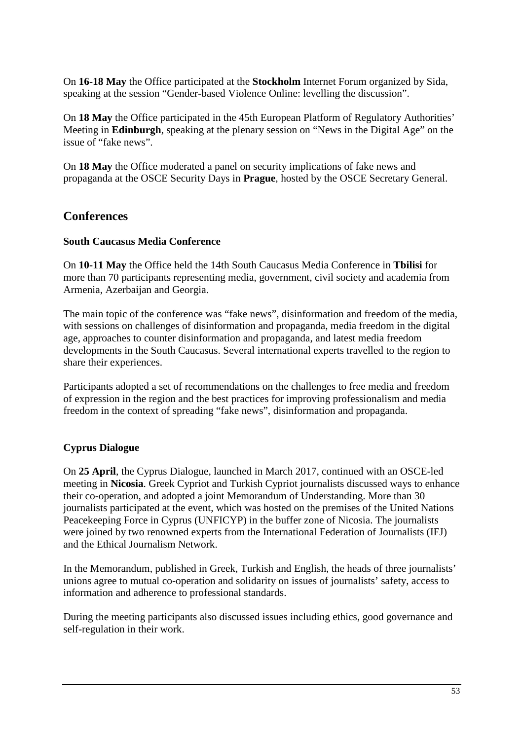On **16-18 May** the Office participated at the **Stockholm** Internet Forum organized by Sida, speaking at the session "Gender-based Violence Online: levelling the discussion".

On **18 May** the Office participated in the 45th European Platform of Regulatory Authorities' Meeting in **Edinburgh**, speaking at the plenary session on "News in the Digital Age" on the issue of "fake news".

On **18 May** the Office moderated a panel on security implications of fake news and propaganda at the OSCE Security Days in **Prague**, hosted by the OSCE Secretary General.

## **Conferences**

### **South Caucasus Media Conference**

On **10-11 May** the Office held the 14th South Caucasus Media Conference in **Tbilisi** for more than 70 participants representing media, government, civil society and academia from Armenia, Azerbaijan and Georgia.

The main topic of the conference was "fake news", disinformation and freedom of the media, with sessions on challenges of disinformation and propaganda, media freedom in the digital age, approaches to counter disinformation and propaganda, and latest media freedom developments in the South Caucasus. Several international experts travelled to the region to share their experiences.

Participants adopted a set of recommendations on the challenges to free media and freedom of expression in the region and the best practices for improving professionalism and media freedom in the context of spreading "fake news", disinformation and propaganda.

## **Cyprus Dialogue**

On **25 April**, the Cyprus Dialogue, launched in March 2017, continued with an OSCE-led meeting in **Nicosia**. Greek Cypriot and Turkish Cypriot journalists discussed ways to enhance their co-operation, and adopted a joint Memorandum of Understanding. More than 30 journalists participated at the event, which was hosted on the premises of the United Nations Peacekeeping Force in Cyprus (UNFICYP) in the buffer zone of Nicosia. The journalists were joined by two renowned experts from the International Federation of Journalists (IFJ) and the Ethical Journalism Network.

In the Memorandum, published in Greek, Turkish and English, the heads of three journalists' unions agree to mutual co-operation and solidarity on issues of journalists' safety, access to information and adherence to professional standards.

During the meeting participants also discussed issues including ethics, good governance and self-regulation in their work.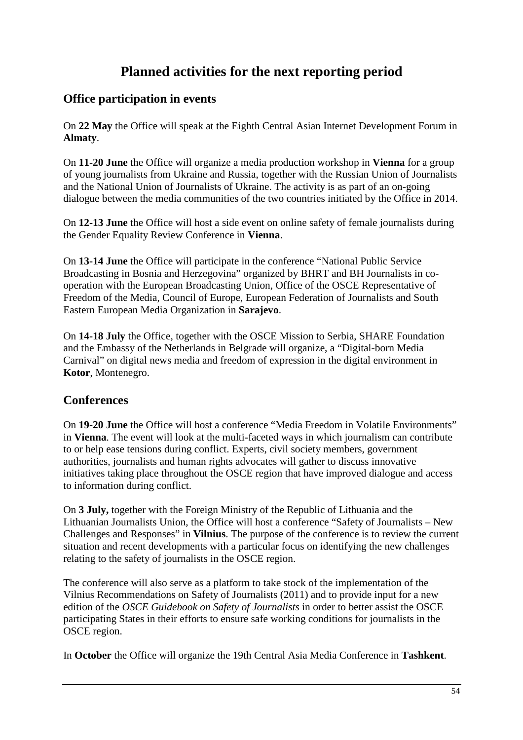# **Planned activities for the next reporting period**

## **Office participation in events**

On **22 May** the Office will speak at the Eighth Central Asian Internet Development Forum in **Almaty**.

On **11-20 June** the Office will organize a media production workshop in **Vienna** for a group of young journalists from Ukraine and Russia, together with the Russian Union of Journalists and the National Union of Journalists of Ukraine. The activity is as part of an on-going dialogue between the media communities of the two countries initiated by the Office in 2014.

On **12-13 June** the Office will host a side event on online safety of female journalists during the Gender Equality Review Conference in **Vienna**.

On **13-14 June** the Office will participate in the conference "National Public Service Broadcasting in Bosnia and Herzegovina" organized by BHRT and BH Journalists in cooperation with the European Broadcasting Union, Office of the OSCE Representative of Freedom of the Media, Council of Europe, European Federation of Journalists and South Eastern European Media Organization in **Sarajevo**.

On **14-18 July** the Office, together with the OSCE Mission to Serbia, SHARE Foundation and the Embassy of the Netherlands in Belgrade will organize, a "Digital-born Media Carnival" on digital news media and freedom of expression in the digital environment in **Kotor**, Montenegro.

## **Conferences**

On **19-20 June** the Office will host a conference "Media Freedom in Volatile Environments" in **Vienna**. The event will look at the multi-faceted ways in which journalism can contribute to or help ease tensions during conflict. Experts, civil society members, government authorities, journalists and human rights advocates will gather to discuss innovative initiatives taking place throughout the OSCE region that have improved dialogue and access to information during conflict.

On **3 July,** together with the Foreign Ministry of the Republic of Lithuania and the Lithuanian Journalists Union, the Office will host a conference "Safety of Journalists – New Challenges and Responses" in **Vilnius**. The purpose of the conference is to review the current situation and recent developments with a particular focus on identifying the new challenges relating to the safety of journalists in the OSCE region.

The conference will also serve as a platform to take stock of the implementation of the Vilnius Recommendations on Safety of Journalists (2011) and to provide input for a new edition of the *OSCE Guidebook on Safety of Journalists* in order to better assist the OSCE participating States in their efforts to ensure safe working conditions for journalists in the OSCE region.

In **October** the Office will organize the 19th Central Asia Media Conference in **Tashkent**.